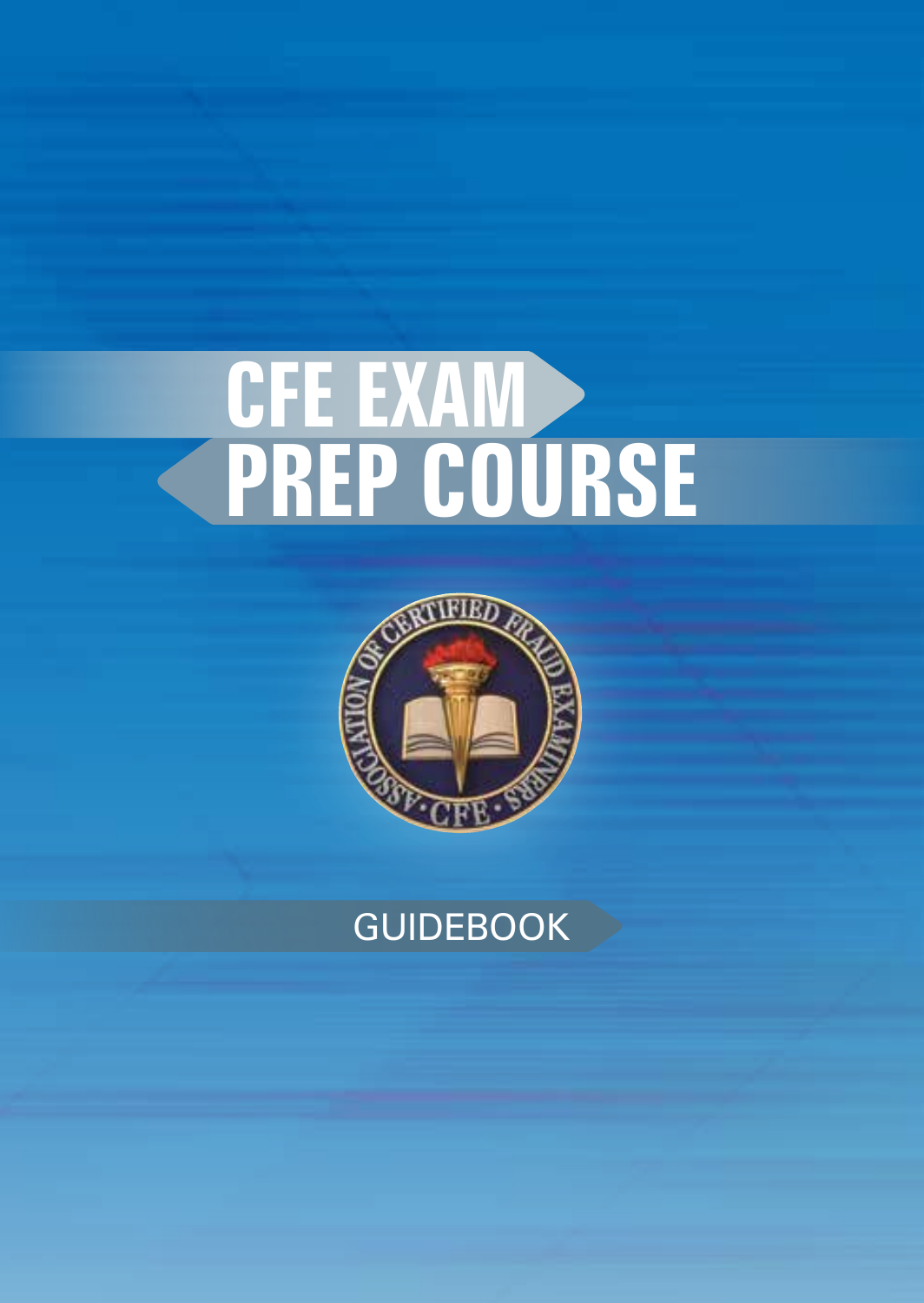# **CFE EXAM PREP COURSE**



### **GUIDEBOOK**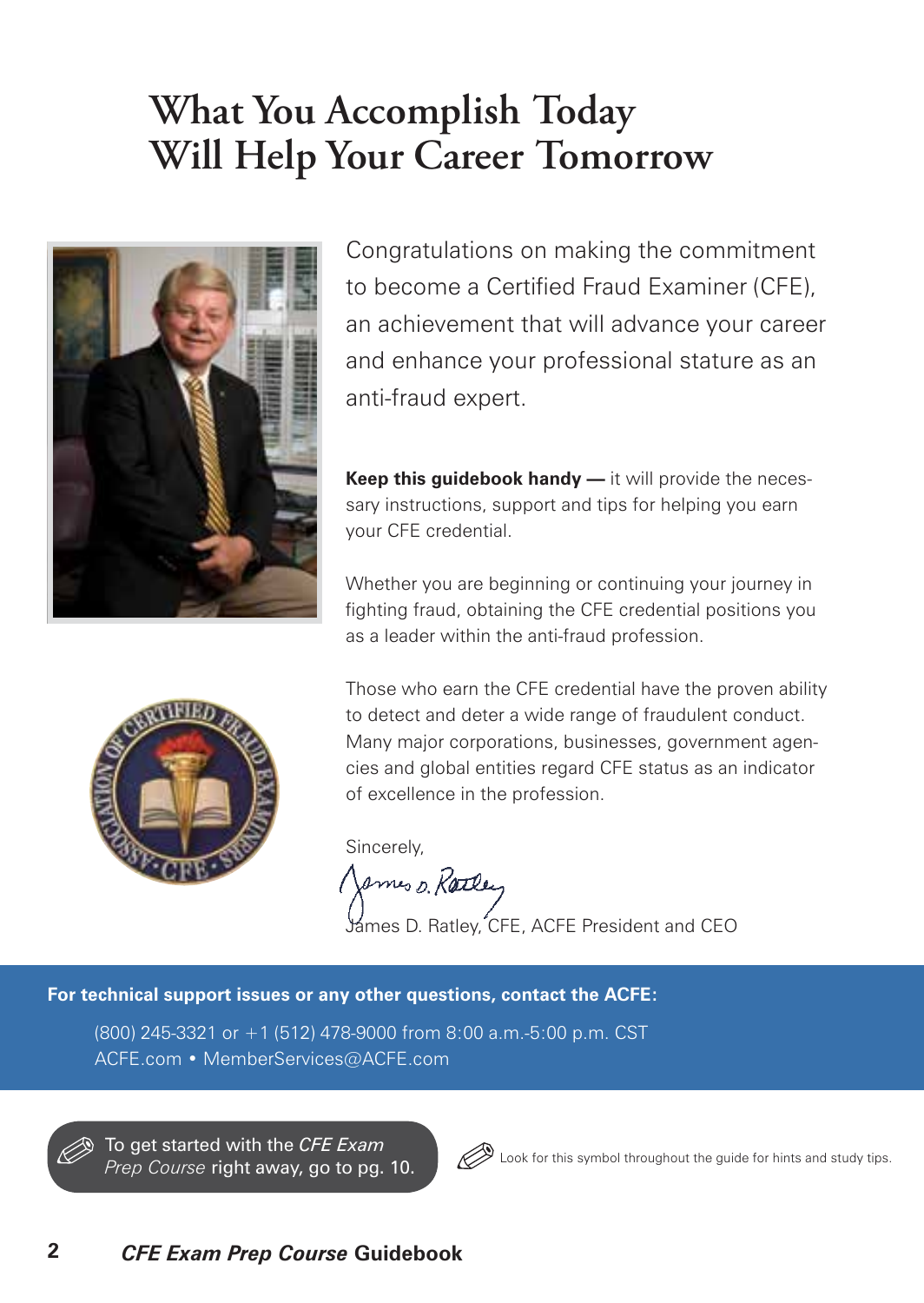### **What You Accomplish Today Will Help Your Career Tomorrow**



Congratulations on making the commitment to become a Certified Fraud Examiner (CFE), an achievement that will advance your career and enhance your professional stature as an anti-fraud expert.

**Keep this guidebook handy —** it will provide the necessary instructions, support and tips for helping you earn your CFE credential.

Whether you are beginning or continuing your journey in fighting fraud, obtaining the CFE credential positions you as a leader within the anti-fraud profession.



Those who earn the CFE credential have the proven ability to detect and deter a wide range of fraudulent conduct. Many major corporations, businesses, government agencies and global entities regard CFE status as an indicator of excellence in the profession.

Sincerely,

James D. Rattley

James D. Ratley, CFE, ACFE President and CEO

**For technical support issues or any other questions, contact the ACFE:**

(800) 245-3321 or +1 (512) 478-9000 from 8:00 a.m.-5:00 p.m. CST ACFE.com • MemberServices@ACFE.com

To get started with the *CFE Exam Prep Course* right away, go to pg. 10.



Look for this symbol throughout the guide for hints and study tips.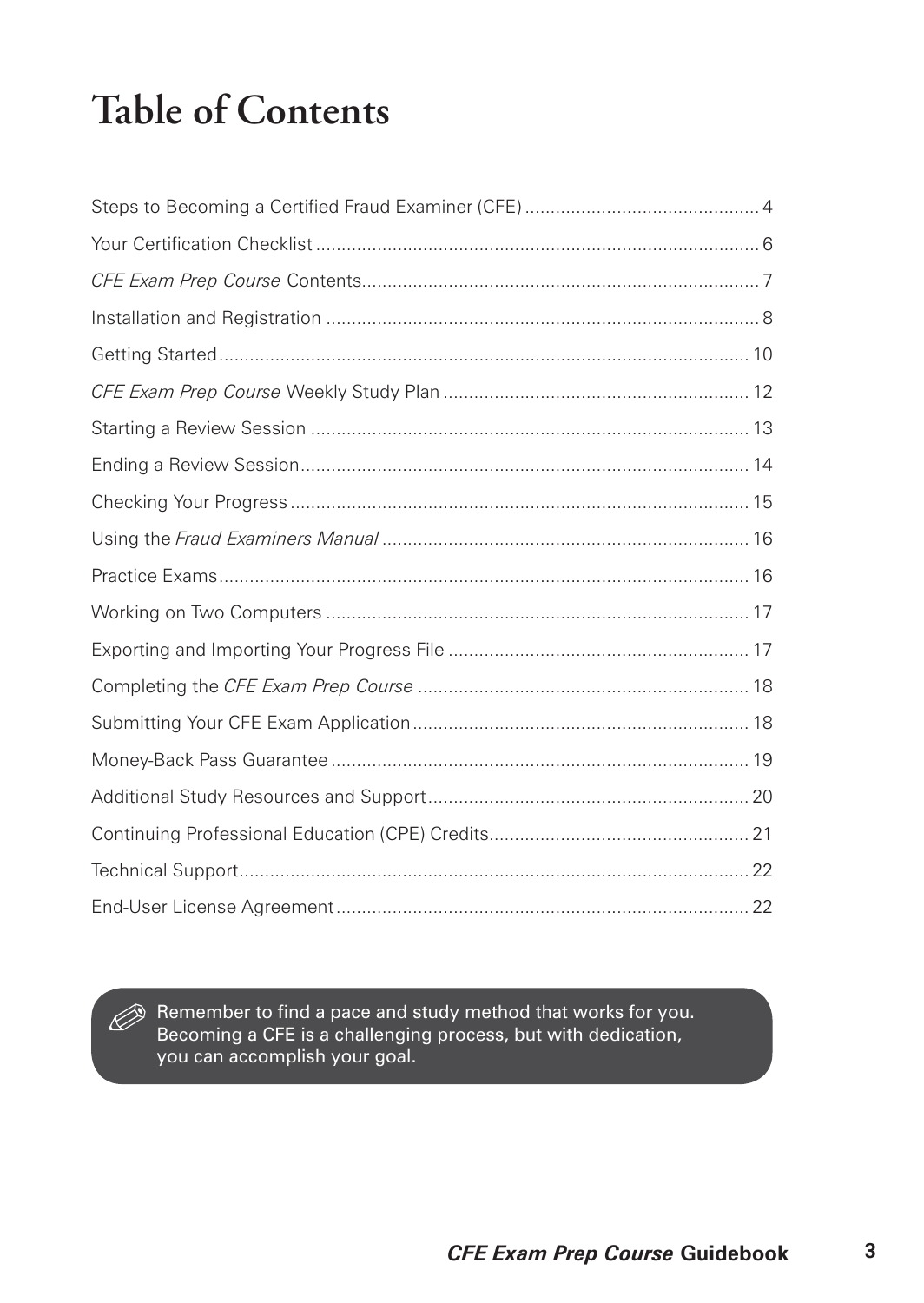# **Table of Contents**

Remember to find a pace and study method that works for you. Becoming a CFE is a challenging process, but with dedication, you can accomplish your goal.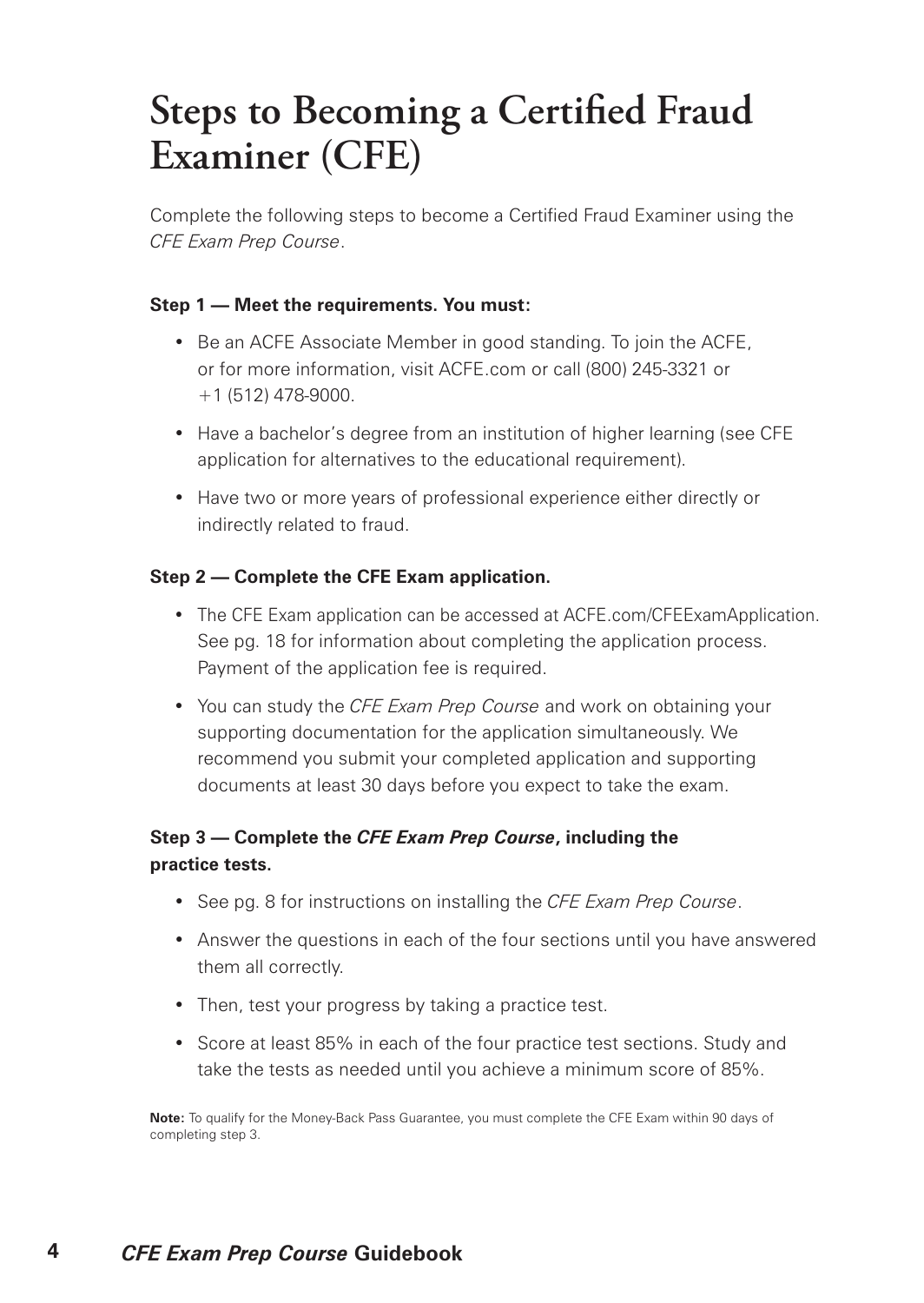### **Steps to Becoming a Certified Fraud Examiner (CFE)**

Complete the following steps to become a Certified Fraud Examiner using the *CFE Exam Prep Course*.

#### **Step 1 — Meet the requirements. You must:**

- Be an ACFE Associate Member in good standing. To join the ACFE, or for more information, visit ACFE.com or call (800) 245-3321 or +1 (512) 478-9000.
- Have a bachelor's degree from an institution of higher learning (see CFE application for alternatives to the educational requirement).
- Have two or more years of professional experience either directly or indirectly related to fraud.

#### **Step 2 — Complete the CFE Exam application.**

- The CFE Exam application can be accessed at ACFE.com/CFEExamApplication. See pg. 18 for information about completing the application process. Payment of the application fee is required.
- You can study the *CFE Exam Prep Course* and work on obtaining your supporting documentation for the application simultaneously. We recommend you submit your completed application and supporting documents at least 30 days before you expect to take the exam.

#### **Step 3 — Complete the** *CFE Exam Prep Course***, including the practice tests.**

- See pg. 8 for instructions on installing the *CFE Exam Prep Course*.
- Answer the questions in each of the four sections until you have answered them all correctly.
- Then, test your progress by taking a practice test.
- Score at least 85% in each of the four practice test sections. Study and take the tests as needed until you achieve a minimum score of 85%.

**Note:** To qualify for the Money-Back Pass Guarantee, you must complete the CFE Exam within 90 days of completing step 3.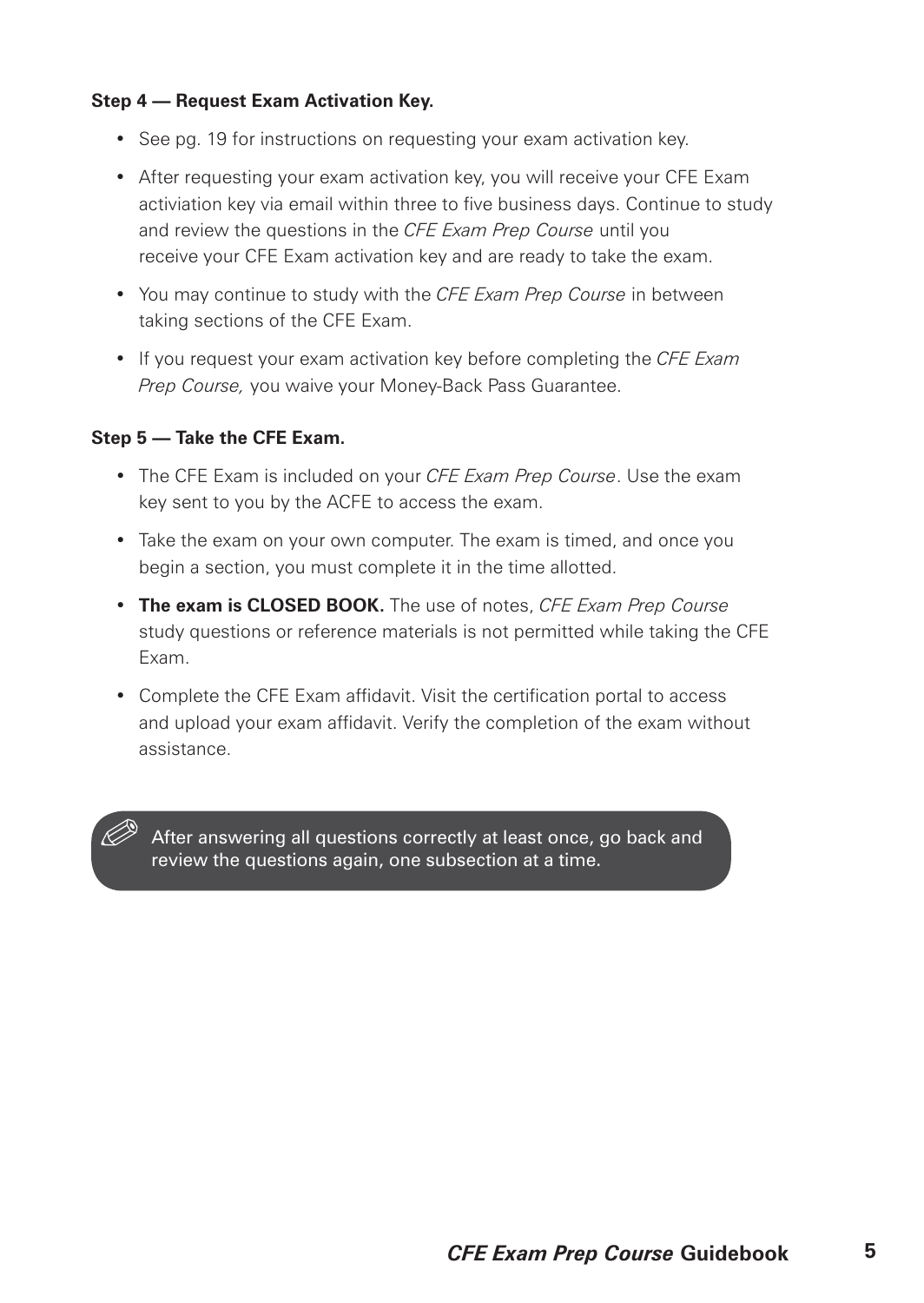#### **Step 4 — Request Exam Activation Key.**

- See pg. 19 for instructions on requesting your exam activation key.
- After requesting your exam activation key, you will receive your CFE Exam activiation key via email within three to five business days. Continue to study and review the questions in the *CFE Exam Prep Course* until you receive your CFE Exam activation key and are ready to take the exam.
- You may continue to study with the *CFE Exam Prep Course* in between taking sections of the CFE Exam.
- If you request your exam activation key before completing the *CFE Exam Prep Course,* you waive your Money-Back Pass Guarantee.

#### **Step 5 — Take the CFE Exam.**

- The CFE Exam is included on your *CFE Exam Prep Course*. Use the exam key sent to you by the ACFE to access the exam.
- Take the exam on your own computer. The exam is timed, and once you begin a section, you must complete it in the time allotted.
- **The exam is CLOSED BOOK.** The use of notes, *CFE Exam Prep Course* study questions or reference materials is not permitted while taking the CFE Exam.
- Complete the CFE Exam affidavit. Visit the certification portal to access and upload your exam affidavit. Verify the completion of the exam without assistance.

After answering all questions correctly at least once, go back and review the questions again, one subsection at a time.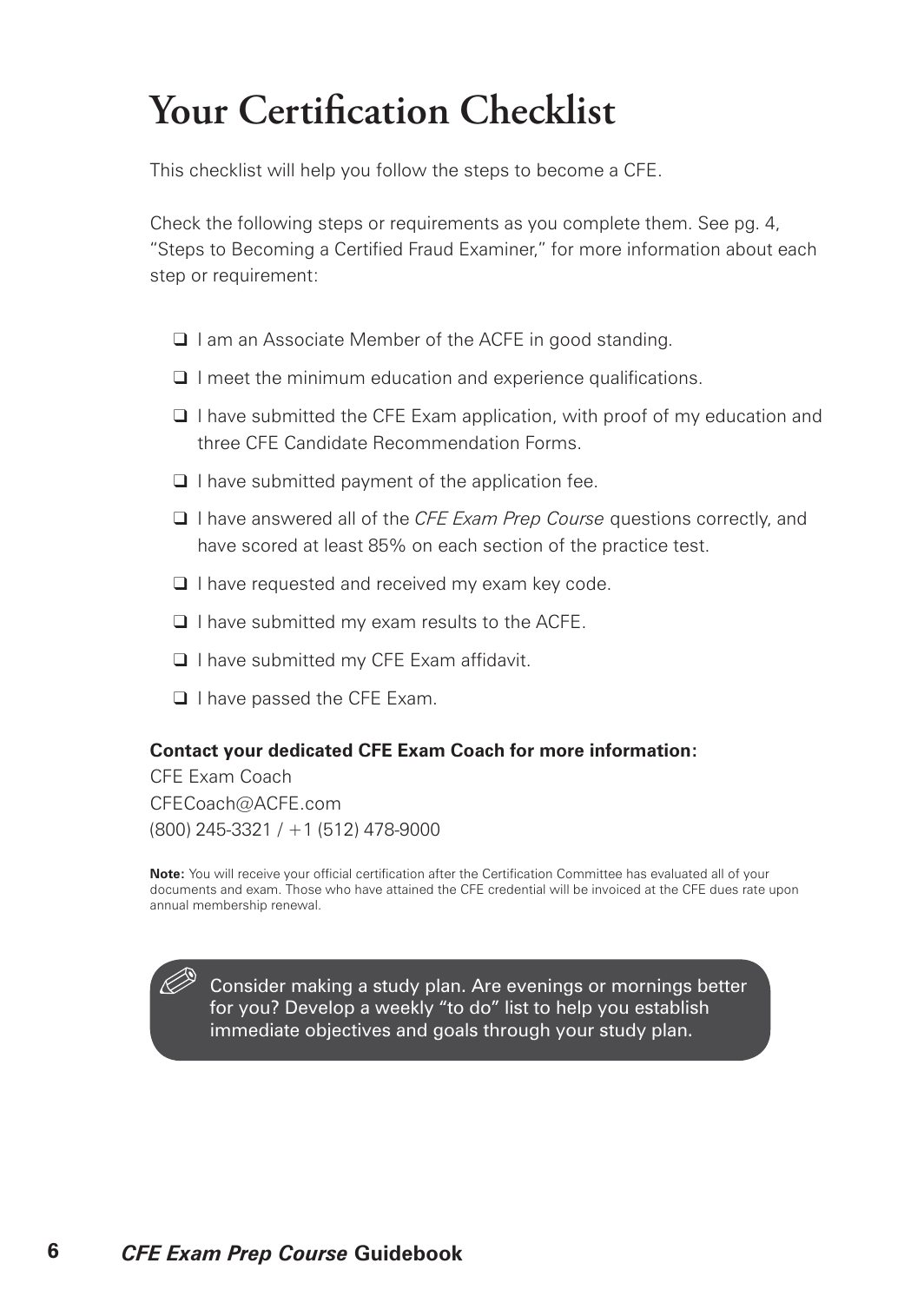### **Your Certification Checklist**

This checklist will help you follow the steps to become a CFE.

Check the following steps or requirements as you complete them. See pg. 4, "Steps to Becoming a Certified Fraud Examiner," for more information about each step or requirement:

- ❑ I am an Associate Member of the ACFE in good standing.
- ❑ I meet the minimum education and experience qualifications.
- ❑ I have submitted the CFE Exam application, with proof of my education and three CFE Candidate Recommendation Forms.
- ❑ I have submitted payment of the application fee.
- ❑ I have answered all of the *CFE Exam Prep Course* questions correctly, and have scored at least 85% on each section of the practice test.
- ❑ I have requested and received my exam key code.
- ❑ I have submitted my exam results to the ACFE.
- ❑ I have submitted my CFE Exam affidavit.
- ❑ I have passed the CFE Exam.

#### **Contact your dedicated CFE Exam Coach for more information:**

CFE Exam Coach CFECoach@ACFE.com (800) 245-3321 / +1 (512) 478-9000

**Note:** You will receive your official certification after the Certification Committee has evaluated all of your documents and exam. Those who have attained the CFE credential will be invoiced at the CFE dues rate upon annual membership renewal.

Consider making a study plan. Are evenings or mornings better for you? Develop a weekly "to do" list to help you establish immediate objectives and goals through your study plan.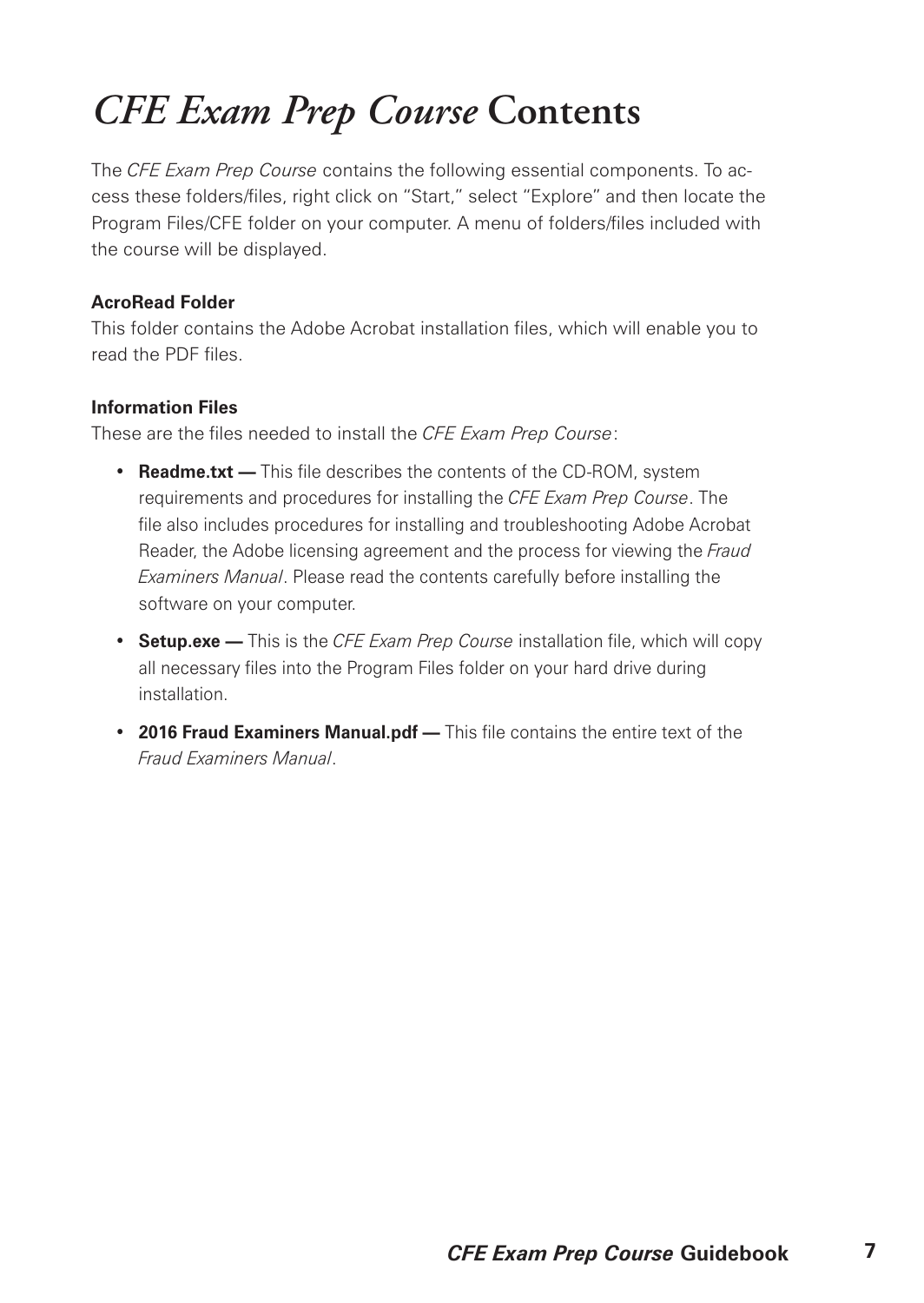### *CFE Exam Prep Course* **Contents**

The *CFE Exam Prep Course* contains the following essential components. To access these folders/files, right click on "Start," select "Explore" and then locate the Program Files/CFE folder on your computer. A menu of folders/files included with the course will be displayed.

#### **AcroRead Folder**

This folder contains the Adobe Acrobat installation files, which will enable you to read the PDF files.

#### **Information Files**

These are the files needed to install the *CFE Exam Prep Course*:

- **Readme.txt —** This file describes the contents of the CD-ROM, system requirements and procedures for installing the *CFE Exam Prep Course*. The file also includes procedures for installing and troubleshooting Adobe Acrobat Reader, the Adobe licensing agreement and the process for viewing the *Fraud Examiners Manual*. Please read the contents carefully before installing the software on your computer.
- **Setup.exe —** This is the *CFE Exam Prep Course* installation file, which will copy all necessary files into the Program Files folder on your hard drive during installation.
- **2016 Fraud Examiners Manual.pdf —** This file contains the entire text of the *Fraud Examiners Manual*.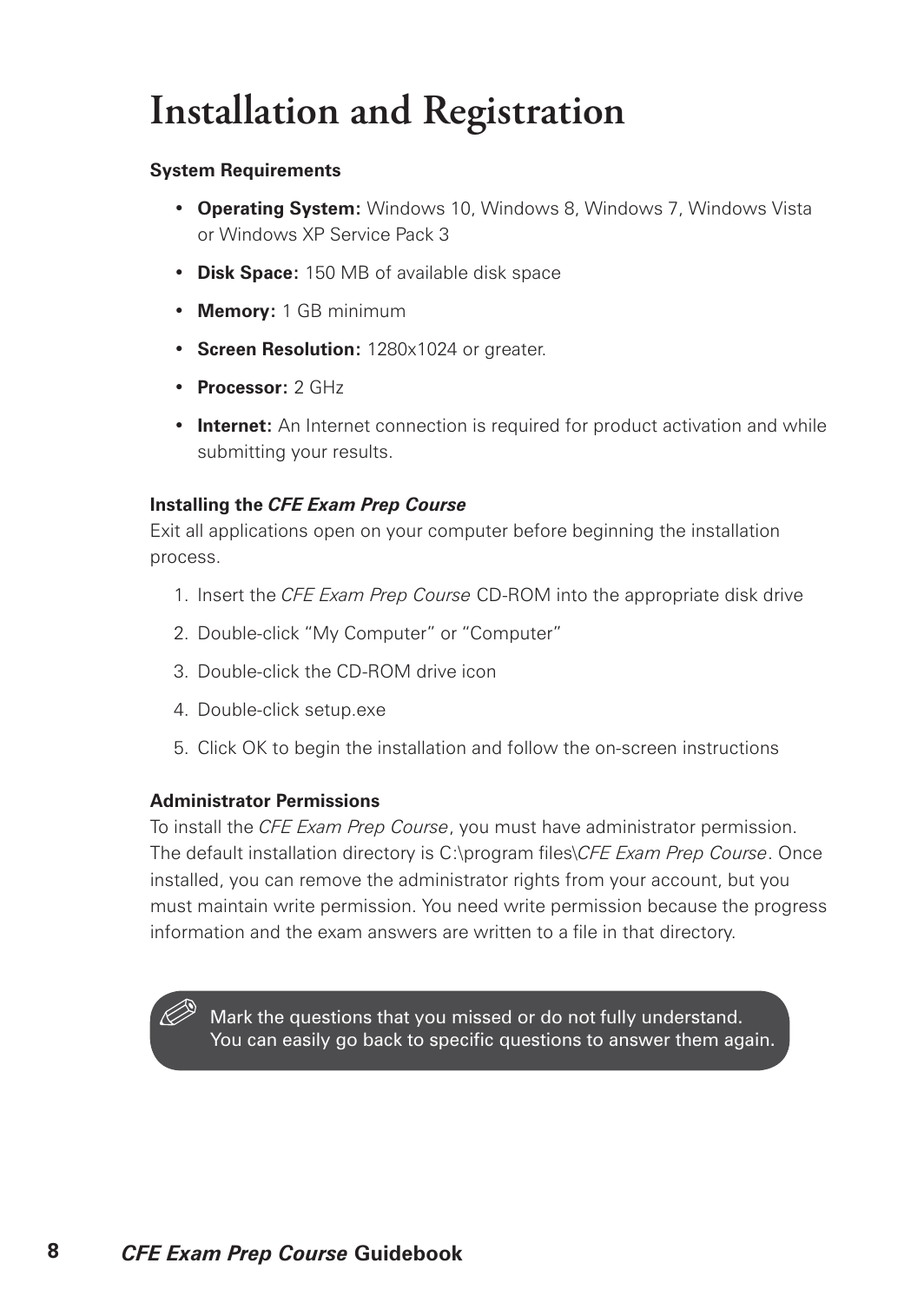## **Installation and Registration**

#### **System Requirements**

- **Operating System:** Windows 10, Windows 8, Windows 7, Windows Vista or Windows XP Service Pack 3
- **Disk Space:** 150 MB of available disk space
- **Memory:** 1 GB minimum
- **Screen Resolution:** 1280x1024 or greater.
- **Processor:** 2 GHz
- **Internet:** An Internet connection is required for product activation and while submitting your results.

#### **Installing the** *CFE Exam Prep Course*

Exit all applications open on your computer before beginning the installation process.

- 1. Insert the *CFE Exam Prep Course* CD-ROM into the appropriate disk drive
- 2. Double-click "My Computer" or "Computer"
- 3. Double-click the CD-ROM drive icon
- 4. Double-click setup.exe
- 5. Click OK to begin the installation and follow the on-screen instructions

#### **Administrator Permissions**

To install the *CFE Exam Prep Course*, you must have administrator permission. The default installation directory is C:\program files\*CFE Exam Prep Course*. Once installed, you can remove the administrator rights from your account, but you must maintain write permission. You need write permission because the progress information and the exam answers are written to a file in that directory.

Mark the questions that you missed or do not fully understand. You can easily go back to specific questions to answer them again.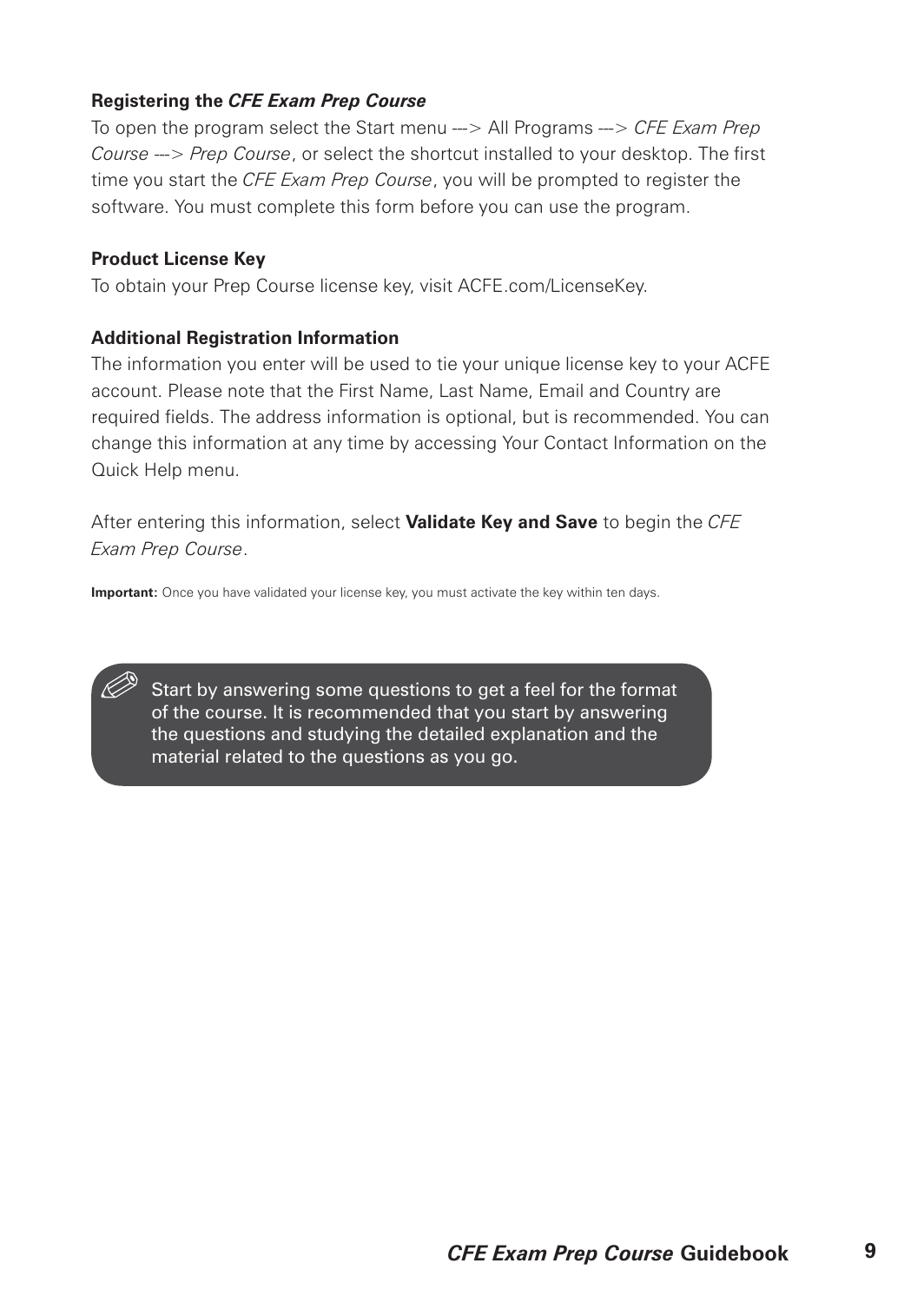#### **Registering the** *CFE Exam Prep Course*

To open the program select the Start menu ---> All Programs ---> *CFE Exam Prep Course* ---> *Prep Course*, or select the shortcut installed to your desktop. The first time you start the *CFE Exam Prep Course*, you will be prompted to register the software. You must complete this form before you can use the program.

#### **Product License Key**

To obtain your Prep Course license key, visit ACFE.com/LicenseKey.

#### **Additional Registration Information**

The information you enter will be used to tie your unique license key to your ACFE account. Please note that the First Name, Last Name, Email and Country are required fields. The address information is optional, but is recommended. You can change this information at any time by accessing Your Contact Information on the Quick Help menu.

After entering this information, select **Validate Key and Save** to begin the *CFE Exam Prep Course*.

**Important:** Once you have validated your license key, you must activate the key within ten days.

Start by answering some questions to get a feel for the format of the course. It is recommended that you start by answering the questions and studying the detailed explanation and the material related to the questions as you go.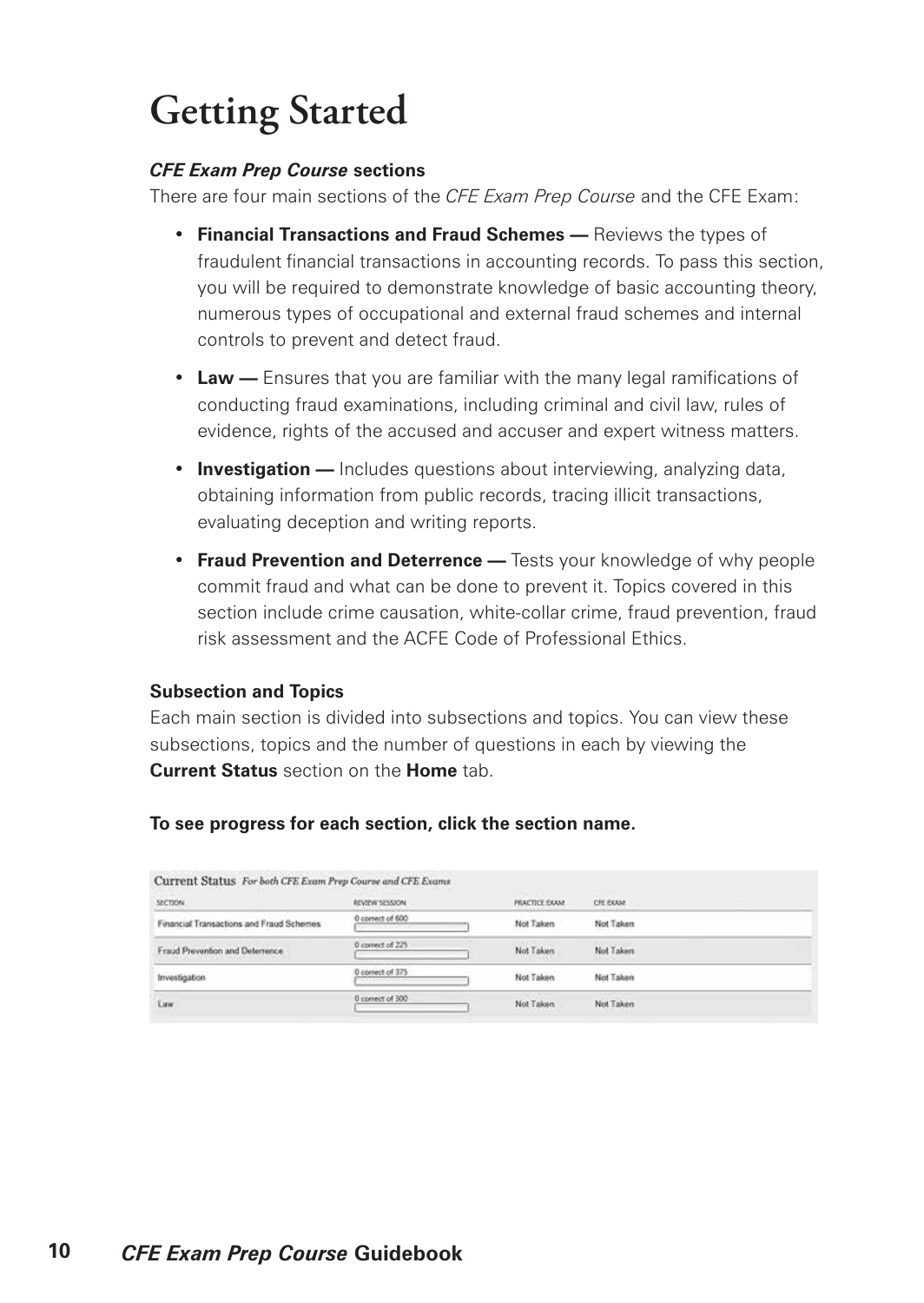## **Getting Started**

#### *CFE Exam Prep Course* **sections**

There are four main sections of the *CFE Exam Prep Course* and the CFE Exam:

- **Financial Transactions and Fraud Schemes —** Reviews the types of fraudulent financial transactions in accounting records. To pass this section, you will be required to demonstrate knowledge of basic accounting theory, numerous types of occupational and external fraud schemes and internal controls to prevent and detect fraud.
- **Law —** Ensures that you are familiar with the many legal ramifications of conducting fraud examinations, including criminal and civil law, rules of evidence, rights of the accused and accuser and expert witness matters.
- **Investigation —** Includes questions about interviewing, analyzing data, obtaining information from public records, tracing illicit transactions, evaluating deception and writing reports.
- **Fraud Prevention and Deterrence —** Tests your knowledge of why people commit fraud and what can be done to prevent it. Topics covered in this section include crime causation, white-collar crime, fraud prevention, fraud risk assessment and the ACFE Code of Professional Ethics.

#### **Subsection and Topics**

Each main section is divided into subsections and topics. You can view these subsections, topics and the number of questions in each by viewing the **Current Status** section on the **Home** tab.

#### **To see progress for each section, click the section name.**

| <b>SECTION</b>                           | REVIEW SESSION                                               | <b>PRACTICE EXAM</b> | CFE EXAM  |  |
|------------------------------------------|--------------------------------------------------------------|----------------------|-----------|--|
| Financial Transactions and Fraud Schemes | 0 correct of 600                                             | Not Taken            | Not Taken |  |
| Fraud Prevention and Determinee.         | 0 connect of 225                                             | Not Taken            | Not Taken |  |
| Investigation                            | 0 correct of 375<br><b>The Company's Company's Company's</b> | Not Taken            | Not Taken |  |
| Law.                                     | 0 correct of 300                                             | Not Taken            | Not Taken |  |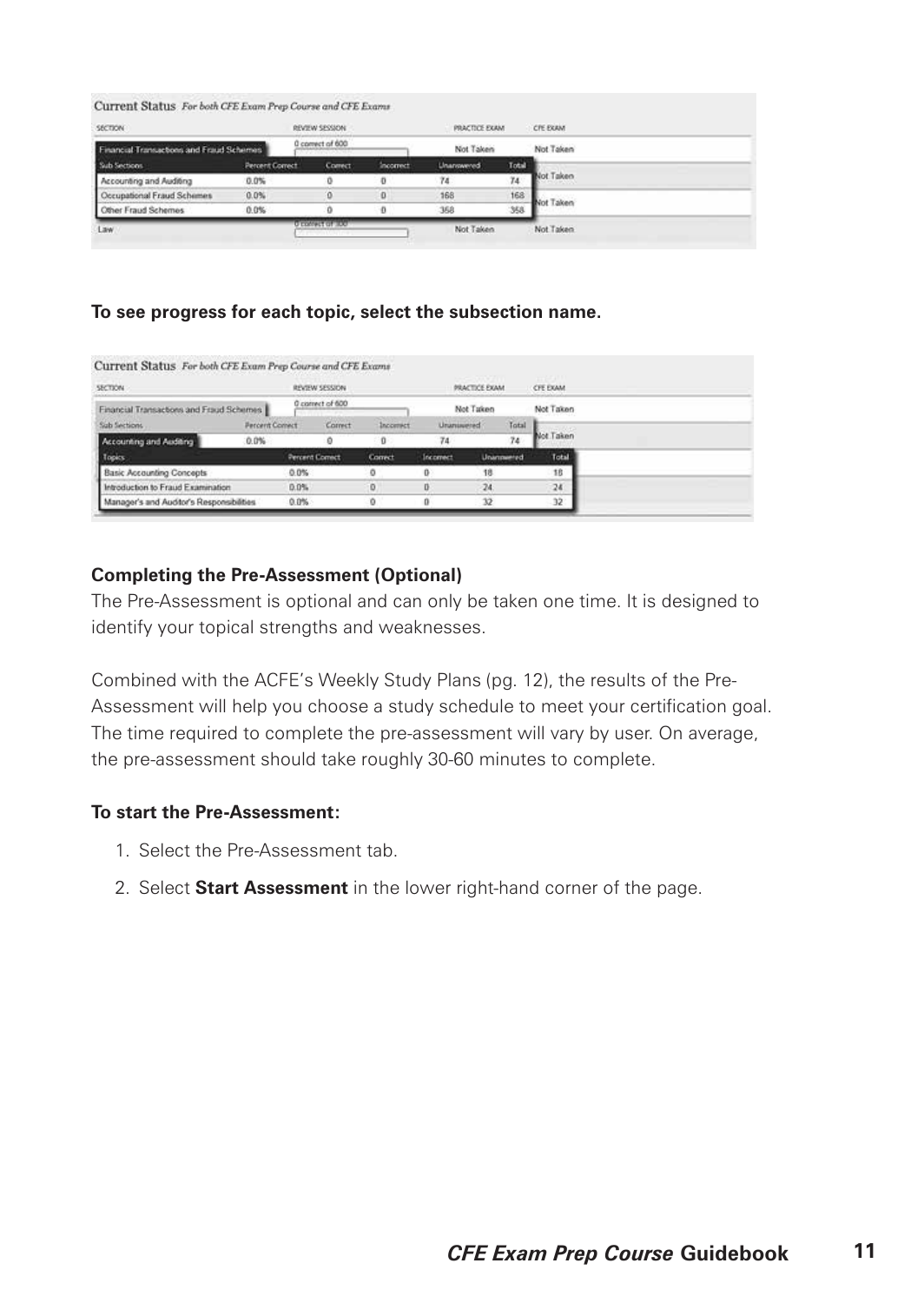|  |  | Current Status For both CFE Exam Prep Course and CFE Exams |
|--|--|------------------------------------------------------------|
|--|--|------------------------------------------------------------|

| SECTION                                  |                        | REVIEW SECSION   |           | PRACTICE EXAM      |       | CFE EXAM  |  |
|------------------------------------------|------------------------|------------------|-----------|--------------------|-------|-----------|--|
| Financial Transactions and Fraud Schemes |                        | 0 convect of 600 |           | Not Taken          |       | Not Taken |  |
| Sub Sections                             | <b>Percent Correct</b> | <b>Comect</b>    | Incorrect | <b>Linanceword</b> | Total |           |  |
| Accounting and Auditing                  | $0.0\%$                |                  | o         | 74                 | 74    | Not Taken |  |
| Occupational Fraud Schemes               | 0.0%                   |                  | o         | 168                | 168   | Not Taken |  |
| Other Fraud Schemes                      | 0.0%                   |                  | o         | 358                | 358   |           |  |
| Law.                                     |                        | O EXWING OF LOOP |           | Not Taken          |       | Not Taken |  |

#### **To see progress for each topic, select the subsection name.**

| <b>SECTION</b>                            | REVIEW SESSION              |                        |         | PRACTICE EXAM. | CFE EXAM.         |           |           |           |  |
|-------------------------------------------|-----------------------------|------------------------|---------|----------------|-------------------|-----------|-----------|-----------|--|
| Financial Transactions and Fraud Schemes  |                             | 0 connect of 600       |         |                | Not Taken         | Not Taken |           |           |  |
| Sab Sections:                             | <b><i>Parcent Comet</i></b> |                        | Correct | Incomet        | <b>Unanisemed</b> |           | Total     |           |  |
| Accounting and Auditing                   | 0.0%                        |                        |         | - 0            | 74                |           | 74        | Not Taken |  |
| Topics                                    |                             | <b>Percent Correct</b> |         | Correct        | Incomect          |           | Unannumed | Total     |  |
| <b>Basic Accounting Concepts</b>          |                             | $0.0\%$                |         | ٥              | 0                 | 18        |           | 18        |  |
| Introduction to Fraud Examination         |                             | 0.0%                   |         | o.             |                   | $-24$     |           | 24        |  |
| Manager's and Auditor's Responsibilities. |                             | $0.0\%$                |         | o              | 0                 | 32        |           | 32        |  |

#### **Completing the Pre-Assessment (Optional)**

The Pre-Assessment is optional and can only be taken one time. It is designed to identify your topical strengths and weaknesses.

Combined with the ACFE's Weekly Study Plans (pg. 12), the results of the Pre-Assessment will help you choose a study schedule to meet your certification goal. The time required to complete the pre-assessment will vary by user. On average, the pre-assessment should take roughly 30-60 minutes to complete.

#### **To start the Pre-Assessment:**

- 1. Select the Pre-Assessment tab.
- 2. Select **Start Assessment** in the lower right-hand corner of the page.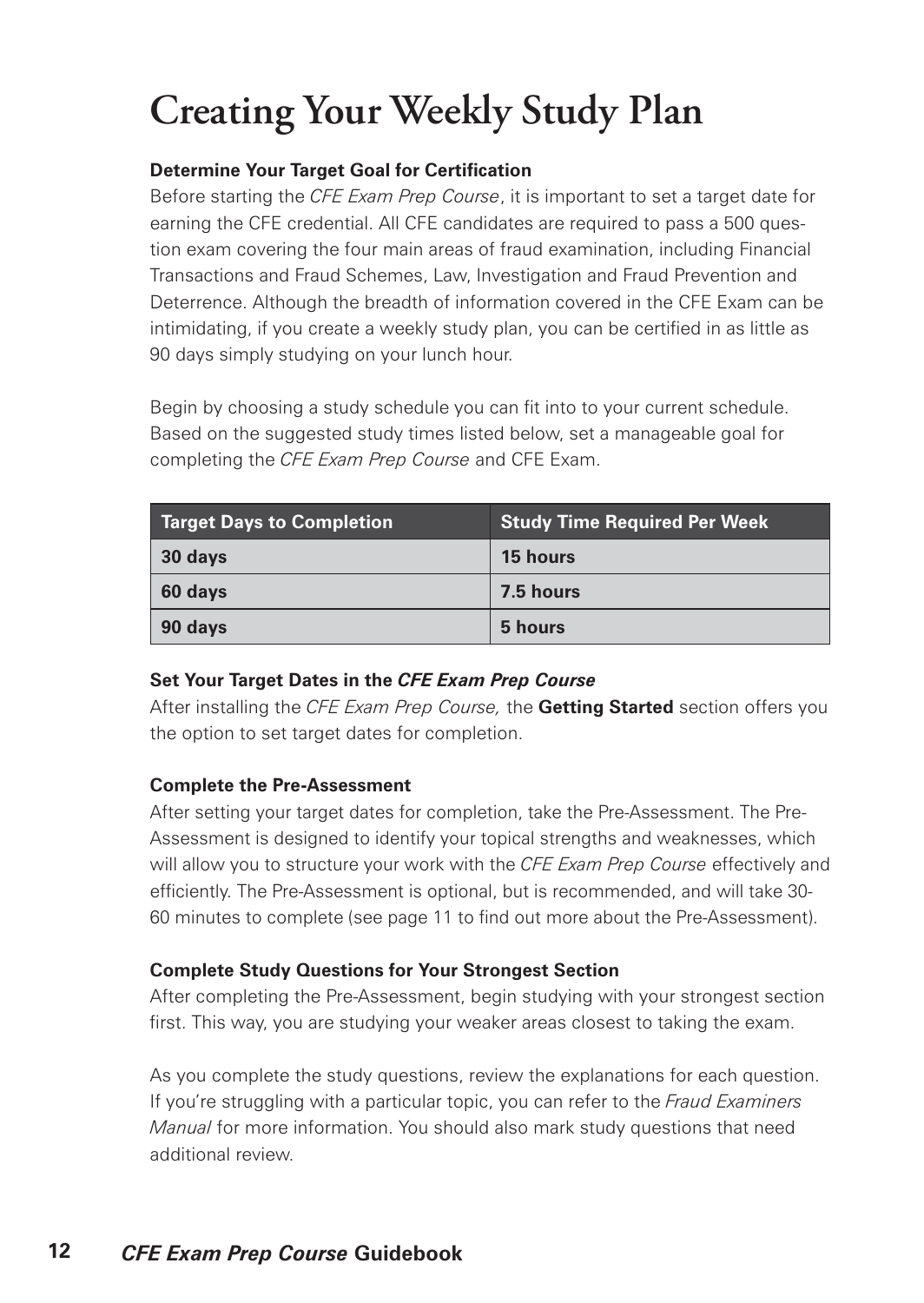# **Creating Your Weekly Study Plan**

#### **Determine Your Target Goal for Certification**

Before starting the *CFE Exam Prep Course*, it is important to set a target date for earning the CFE credential. All CFE candidates are required to pass a 500 question exam covering the four main areas of fraud examination, including Financial Transactions and Fraud Schemes, Law, Investigation and Fraud Prevention and Deterrence. Although the breadth of information covered in the CFE Exam can be intimidating, if you create a weekly study plan, you can be certified in as little as 90 days simply studying on your lunch hour.

Begin by choosing a study schedule you can fit into to your current schedule. Based on the suggested study times listed below, set a manageable goal for completing the *CFE Exam Prep Course* and CFE Exam.

| <b>Target Days to Completion</b> | <b>Study Time Required Per Week</b> |
|----------------------------------|-------------------------------------|
| 30 days                          | 15 hours                            |
| 60 days                          | 7.5 hours                           |
| 90 days                          | 5 hours                             |

#### **Set Your Target Dates in the** *CFE Exam Prep Course*

After installing the *CFE Exam Prep Course,* the **Getting Started** section offers you the option to set target dates for completion.

#### **Complete the Pre-Assessment**

After setting your target dates for completion, take the Pre-Assessment. The Pre-Assessment is designed to identify your topical strengths and weaknesses, which will allow you to structure your work with the *CFE Exam Prep Course* effectively and efficiently. The Pre-Assessment is optional, but is recommended, and will take 30- 60 minutes to complete (see page 11 to find out more about the Pre-Assessment).

#### **Complete Study Questions for Your Strongest Section**

After completing the Pre-Assessment, begin studying with your strongest section first. This way, you are studying your weaker areas closest to taking the exam.

As you complete the study questions, review the explanations for each question. If you're struggling with a particular topic, you can refer to the *Fraud Examiners Manual* for more information. You should also mark study questions that need additional review.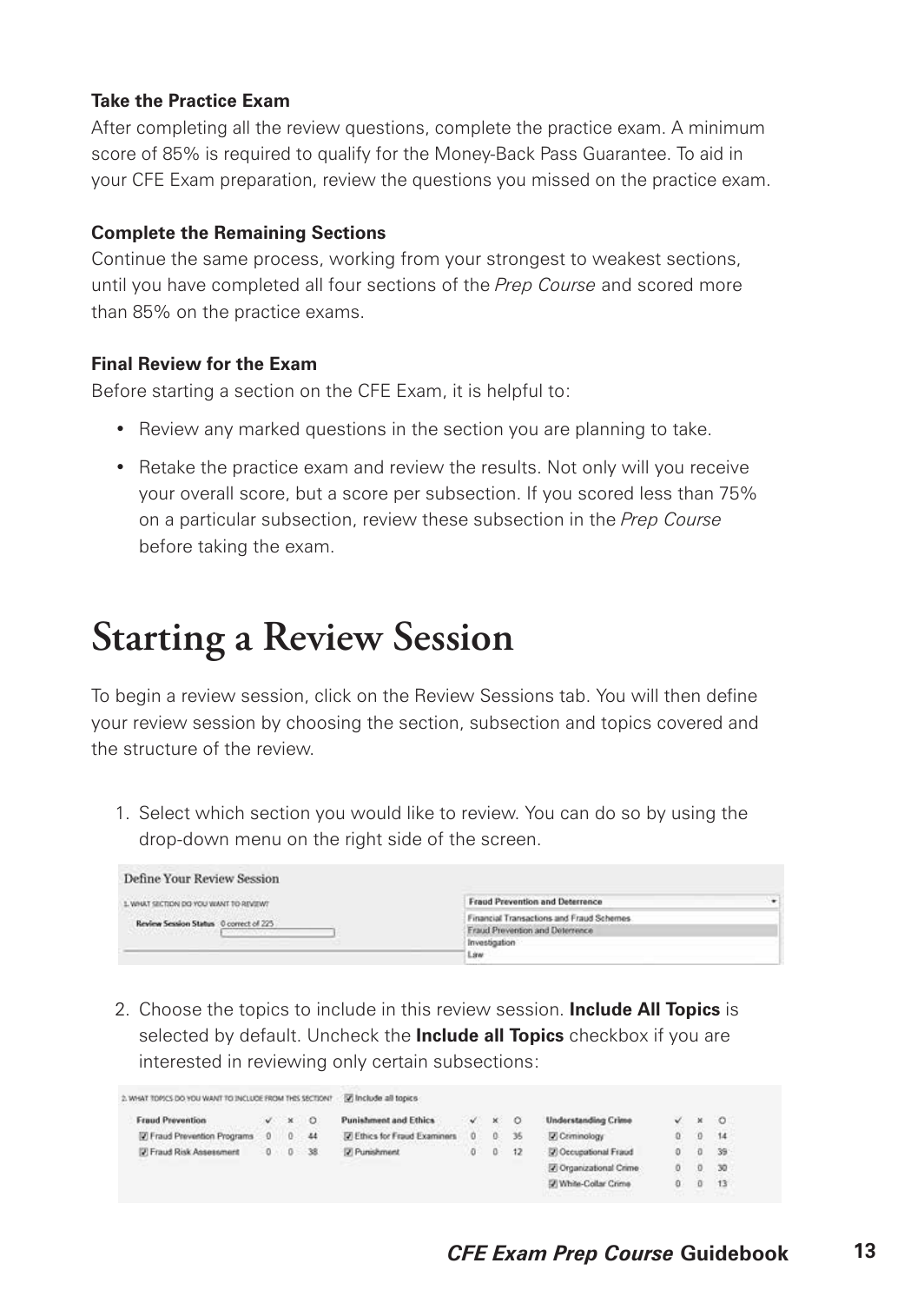#### **Take the Practice Exam**

After completing all the review questions, complete the practice exam. A minimum score of 85% is required to qualify for the Money-Back Pass Guarantee. To aid in your CFE Exam preparation, review the questions you missed on the practice exam.

#### **Complete the Remaining Sections**

Continue the same process, working from your strongest to weakest sections, until you have completed all four sections of the *Prep Course* and scored more than 85% on the practice exams.

#### **Final Review for the Exam**

Before starting a section on the CFE Exam, it is helpful to:

- Review any marked questions in the section you are planning to take.
- Retake the practice exam and review the results. Not only will you receive your overall score, but a score per subsection. If you scored less than 75% on a particular subsection, review these subsection in the *Prep Course* before taking the exam.

### **Starting a Review Session**

To begin a review session, click on the Review Sessions tab. You will then define your review session by choosing the section, subsection and topics covered and the structure of the review.

1. Select which section you would like to review. You can do so by using the drop-down menu on the right side of the screen.

| Define Your Review Session                                                               |                                           |  |
|------------------------------------------------------------------------------------------|-------------------------------------------|--|
| Value of the Carolina and Carolina and Carolina<br>WISHINGTON TANK UP OF ROTTER TAHRIST. | <b>Fraud Prevention and Deterrence</b>    |  |
| Review Session Status 0 correct of 225                                                   | Financial Transactions and Fraud Schemes. |  |
| and the company of the company of                                                        | Fraud Prevention and Deterrence           |  |
|                                                                                          | Investigation                             |  |
|                                                                                          | Line                                      |  |

2. Choose the topics to include in this review session. **Include All Topics** is selected by default. Uncheck the **Include all Topics** checkbox if you are interested in reviewing only certain subsections:

| 2. WHAT TOPICS DO YOU WANT TO INCLUDE FROM THIS SECTION? |          |           |                | To Include all topics          |   |    |           |                                   |   |         |
|----------------------------------------------------------|----------|-----------|----------------|--------------------------------|---|----|-----------|-----------------------------------|---|---------|
| <b>Fraud Prevention</b>                                  |          | $\cdot$ x | $^{\circ}$     | <b>Punishment and Ethics</b>   | v | ×  |           | <b>Understanding Crime</b>        |   | $\circ$ |
| [7] Fraud Prevention Programs                            | $\Omega$ | n         | $-44$          | [7] Ethics for Fraud Examiners | ö |    | 36        | V Criminology                     | o | 14      |
| <b>IZ Fraud Risk Assessment</b>                          |          |           | $0 \t 0 \t 38$ | [7] Punishment                 | o | O. | $12^{12}$ | <sup>[2]</sup> Occupational Fraud |   | 39      |
|                                                          |          |           |                |                                |   |    |           | 7 Organizational Crime            | o | $-30$   |
|                                                          |          |           |                |                                |   |    |           | 57 White-Collar Crime             | o | 13      |
|                                                          |          |           |                |                                |   |    |           |                                   |   |         |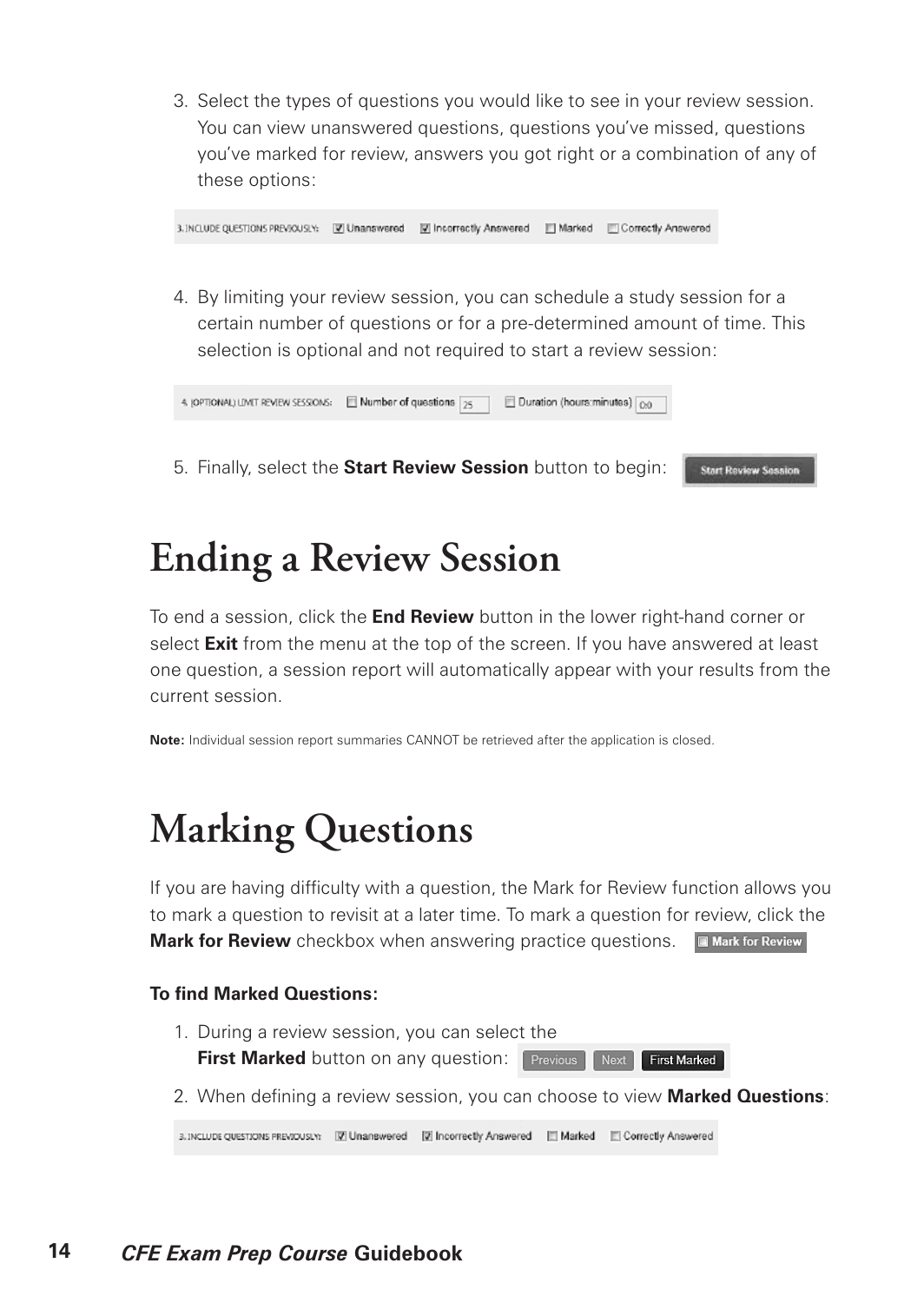3. Select the types of questions you would like to see in your review session. You can view unanswered questions, questions you've missed, questions you've marked for review, answers you got right or a combination of any of these options:

3. INCLUDE QUESTIONS PREVIOUSLY: [7] Unanswered [7] Incorrectly Answered [7] Marked [7] Correctly Answered

4. By limiting your review session, you can schedule a study session for a certain number of questions or for a pre-determined amount of time. This selection is optional and not required to start a review session:

**Start Review Session** 

5. Finally, select the **Start Review Session** button to begin:

### **Ending a Review Session**

To end a session, click the **End Review** button in the lower right-hand corner or select **Exit** from the menu at the top of the screen. If you have answered at least one question, a session report will automatically appear with your results from the current session.

**Note:** Individual session report summaries CANNOT be retrieved after the application is closed.

### **Marking Questions**

If you are having difficulty with a question, the Mark for Review function allows you to mark a question to revisit at a later time. To mark a question for review, click the **Mark for Review** checkbox when answering practice questions. **In Mark for Review** 

#### **To find Marked Questions:**

- 1. During a review session, you can select the **First Marked** button on any question: Previous **Next First Marked**
- 2. When defining a review session, you can choose to view **Marked Questions**:

3. INCLUDE QUESTIONS PREVIOUSLY: [7] Unanswered [7] Incorrectly Answered [7] Marked [7] Correctly Answered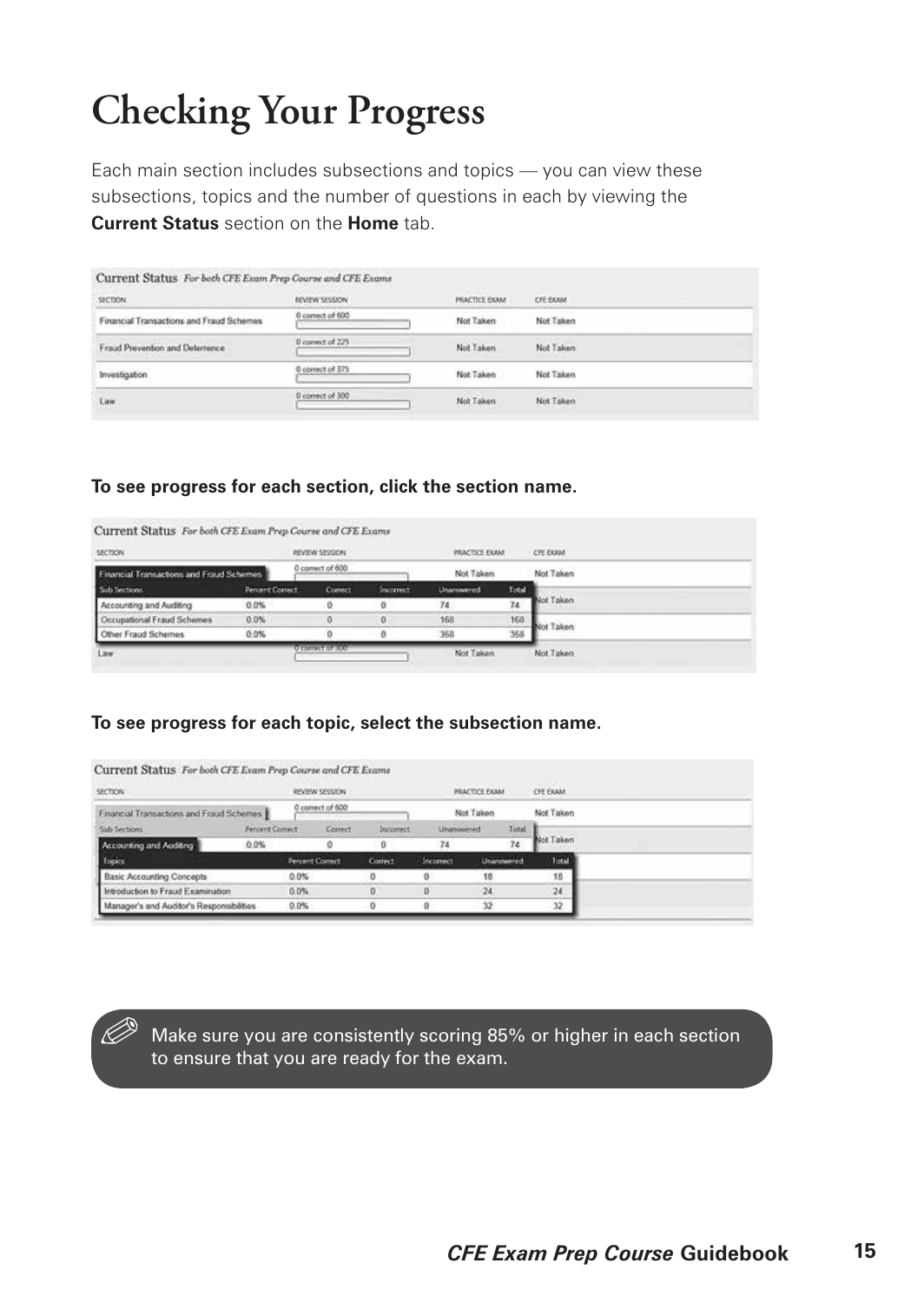# **Checking Your Progress**

Each main section includes subsections and topics — you can view these subsections, topics and the number of questions in each by viewing the **Current Status** section on the **Home** tab.

| <b>SECTION</b>                           | REVIEW SESSION   | <b>PRACTICE EXAM</b> | CFE EXAM<br><b>CONTRACTOR</b>         |  |
|------------------------------------------|------------------|----------------------|---------------------------------------|--|
| Financial Transactions and Fraud Schemes | 0 correct of 600 | Not Taken            | Not Taken                             |  |
| Fraud Prevention and Determince          | 0 convet of 225  | Not Taken            | Not Taken<br><b><i>CONTRACTOR</i></b> |  |
| Investigation                            | 0 correct of 375 | Not Taken            | Not Taken                             |  |
| Law.                                     | 0 correct of 300 | Not Taken            | Not Taken                             |  |

#### **To see progress for each section, click the section name.**

| SECTION                                  |                 | REVIEW SECSION   |                  | PRACTICE EXAM     |       | <b>CFE EXAM</b> |
|------------------------------------------|-----------------|------------------|------------------|-------------------|-------|-----------------|
| Financial Transactions and Fraud Schemes |                 | 0 convect of 600 |                  | Not Taken         |       | Not Taken       |
| Sub Sections                             | Percent Correct | <b>Comect</b>    | <b>Incorrect</b> | <b>Unannwered</b> | Total |                 |
| Accounting and Auditing                  | 0.0%            |                  | $\bf{0}$         | 74                | 74    | Not Taken       |
| Occupational Fraud Schemes               | 0.0%            | o                | o                | 168               | 168   | Not Taken       |
| Other Fraud Schemes                      | $0.0\%$         | o                | Ð                | 368               | 358   |                 |

#### **To see progress for each topic, select the subsection name.**

| SECTION.                                 |                             |                        | REVIEW SESSION   |          | PRACTICE EXAM.    | <b>CFE EXAM</b> |             |           |
|------------------------------------------|-----------------------------|------------------------|------------------|----------|-------------------|-----------------|-------------|-----------|
| Financial Transactions and Fraud Schemes |                             |                        | 0 connect of 600 |          | Not Taken         | Not Taken       |             |           |
| Sizb Sections                            | <b><i>Parcent Comet</i></b> |                        | Correct          | Incomett | <b>Unanisomed</b> |                 | Total<br>74 | Not Taken |
| Accounting and Auditing                  | 0.0%                        |                        |                  | $\theta$ | 74                |                 |             |           |
| Topics                                   |                             | <b>Percent Correct</b> |                  | Correct  | Incomect          |                 | Unannumed   | Total     |
| <b>Basic Accounting Concepts</b>         |                             | $0.0\%$                |                  | ٥        | 0                 | 18              |             | 18        |
| Introduction to Fraud Examination        |                             | 0.0%                   |                  | o.       | o                 | $-24$           |             | 24        |
| Manager's and Auditor's Responsibilities |                             | $0.0\%$                |                  | o        | 0                 | 32              |             | 32        |

Make sure you are consistently scoring 85% or higher in each section to ensure that you are ready for the exam.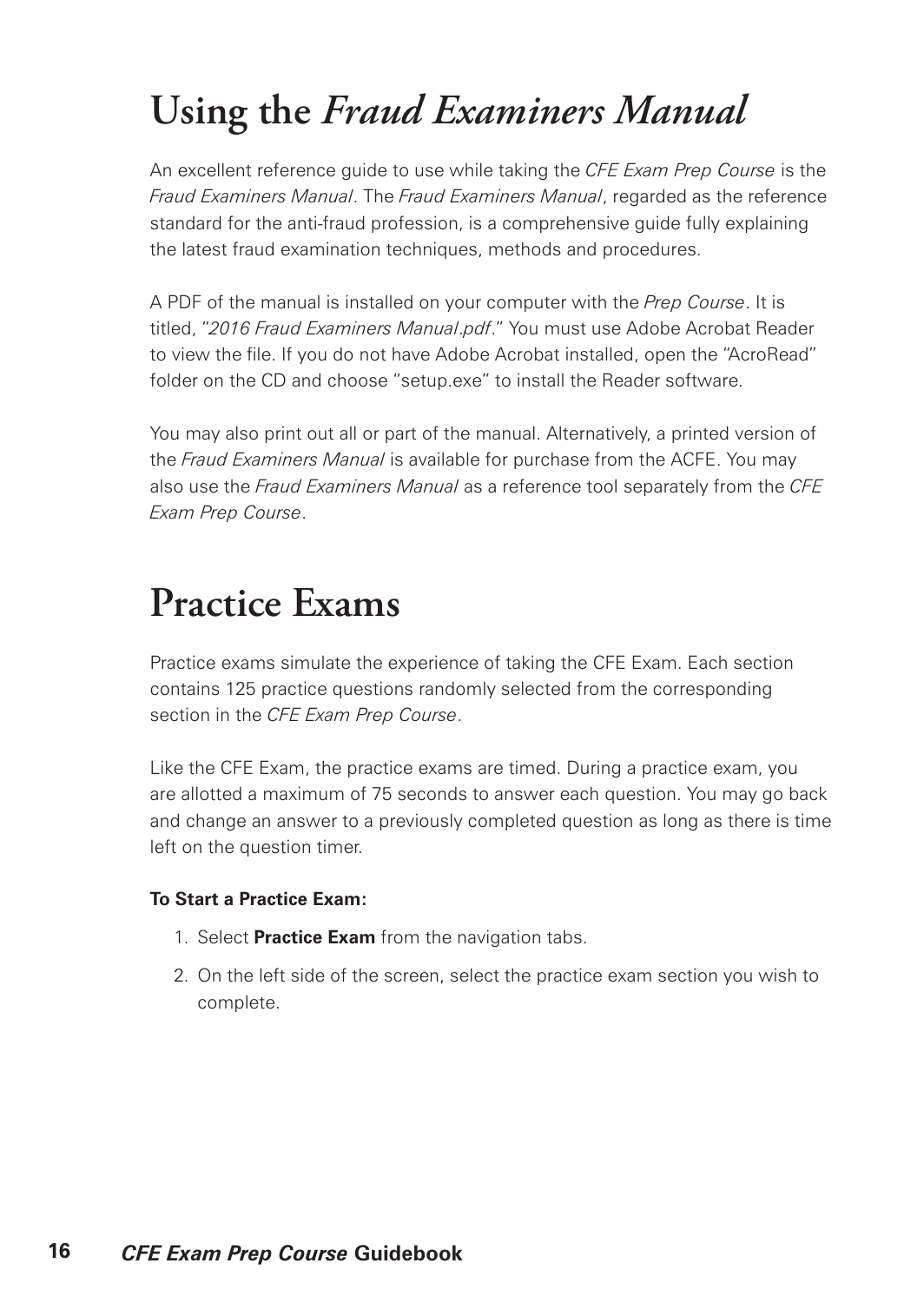## **Using the** *Fraud Examiners Manual*

An excellent reference guide to use while taking the *CFE Exam Prep Course* is the *Fraud Examiners Manual*. The *Fraud Examiners Manual*, regarded as the reference standard for the anti-fraud profession, is a comprehensive guide fully explaining the latest fraud examination techniques, methods and procedures.

A PDF of the manual is installed on your computer with the *Prep Course*. It is titled, "*2016 Fraud Examiners Manual*.*pdf*." You must use Adobe Acrobat Reader to view the file. If you do not have Adobe Acrobat installed, open the "AcroRead" folder on the CD and choose "setup.exe" to install the Reader software.

You may also print out all or part of the manual. Alternatively, a printed version of the *Fraud Examiners Manual* is available for purchase from the ACFE. You may also use the *Fraud Examiners Manual* as a reference tool separately from the *CFE Exam Prep Course*.

### **Practice Exams**

Practice exams simulate the experience of taking the CFE Exam. Each section contains 125 practice questions randomly selected from the corresponding section in the *CFE Exam Prep Course*.

Like the CFE Exam, the practice exams are timed. During a practice exam, you are allotted a maximum of 75 seconds to answer each question. You may go back and change an answer to a previously completed question as long as there is time left on the question timer.

#### **To Start a Practice Exam:**

- 1. Select **Practice Exam** from the navigation tabs.
- 2. On the left side of the screen, select the practice exam section you wish to complete.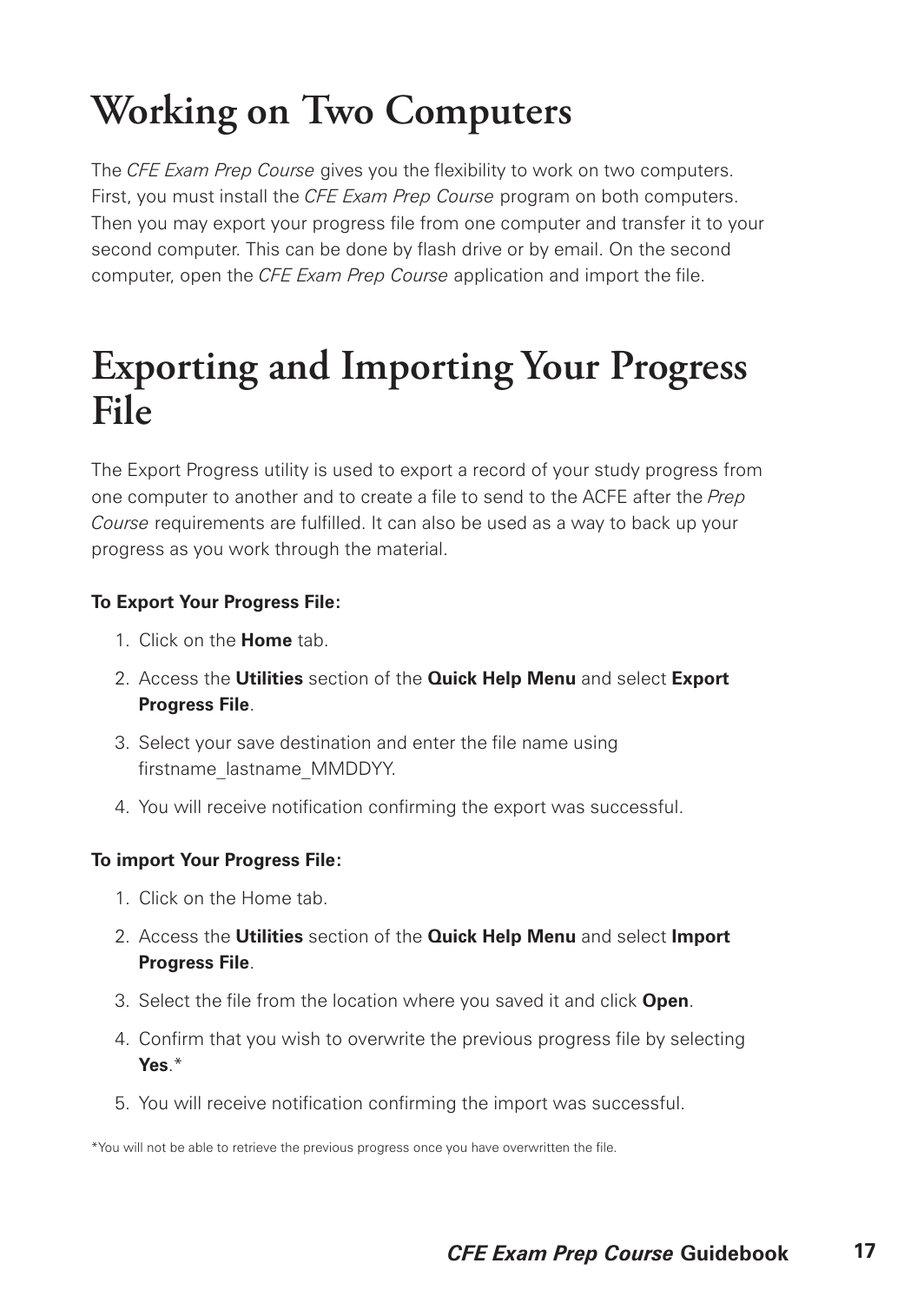# **Working on Two Computers**

The *CFE Exam Prep Course* gives you the flexibility to work on two computers. First, you must install the *CFE Exam Prep Course* program on both computers. Then you may export your progress file from one computer and transfer it to your second computer. This can be done by flash drive or by email. On the second computer, open the *CFE Exam Prep Course* application and import the file.

### **Exporting and Importing Your Progress File**

The Export Progress utility is used to export a record of your study progress from one computer to another and to create a file to send to the ACFE after the *Prep Course* requirements are fulfilled. It can also be used as a way to back up your progress as you work through the material.

#### **To Export Your Progress File:**

- 1. Click on the **Home** tab.
- 2. Access the **Utilities** section of the **Quick Help Menu** and select **Export Progress File**.
- 3. Select your save destination and enter the file name using firstname\_lastname\_MMDDYY.
- 4. You will receive notification confirming the export was successful.

#### **To import Your Progress File:**

- 1. Click on the Home tab.
- 2. Access the **Utilities** section of the **Quick Help Menu** and select **Import Progress File**.
- 3. Select the file from the location where you saved it and click **Open**.
- 4. Confirm that you wish to overwrite the previous progress file by selecting **Yes**.\*
- 5. You will receive notification confirming the import was successful.

\*You will not be able to retrieve the previous progress once you have overwritten the file.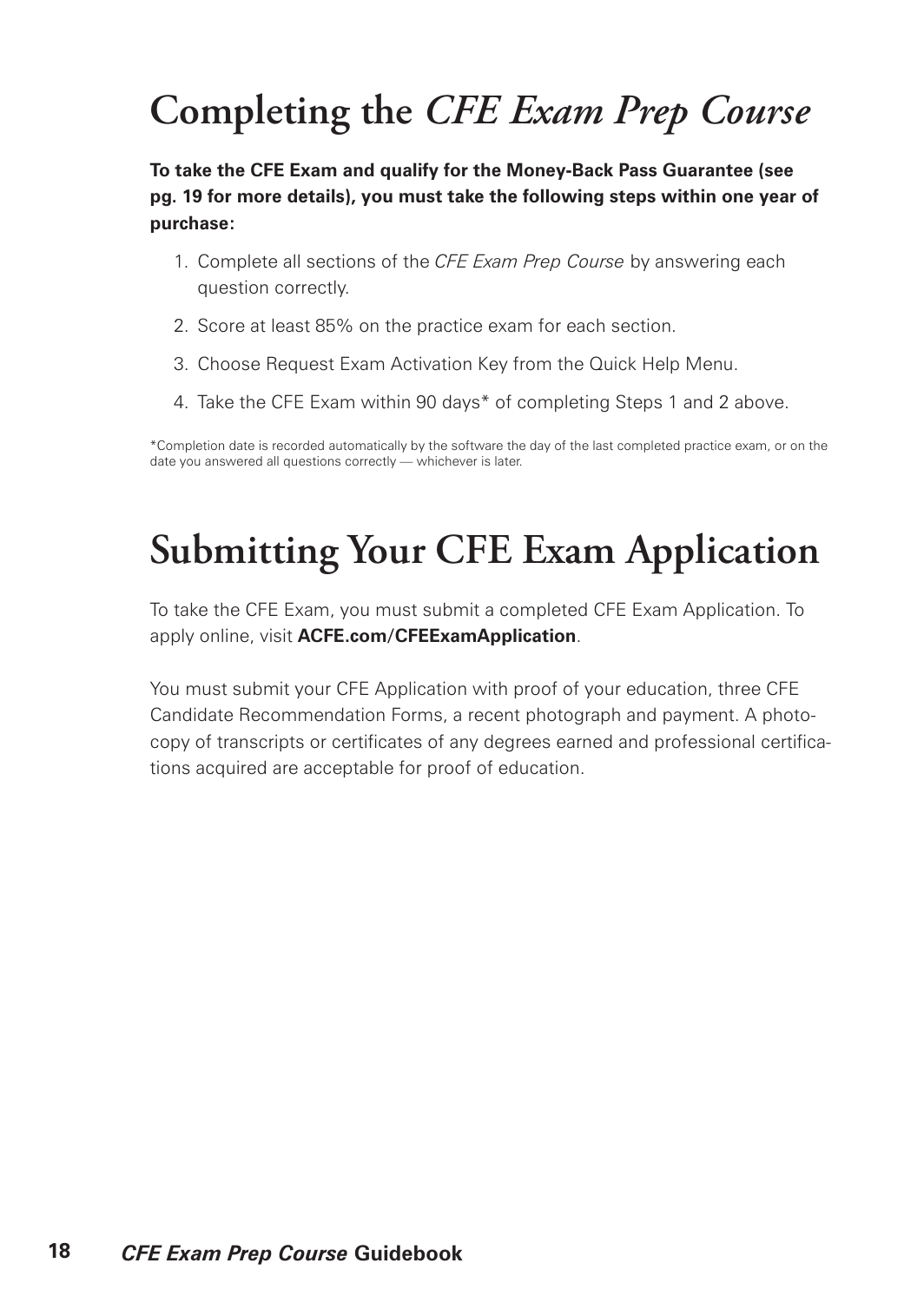# **Completing the** *CFE Exam Prep Course*

**To take the CFE Exam and qualify for the Money-Back Pass Guarantee (see pg. 19 for more details), you must take the following steps within one year of purchase:**

- 1. Complete all sections of the *CFE Exam Prep Course* by answering each question correctly.
- 2. Score at least 85% on the practice exam for each section.
- 3. Choose Request Exam Activation Key from the Quick Help Menu.
- 4. Take the CFE Exam within 90 days\* of completing Steps 1 and 2 above.

\*Completion date is recorded automatically by the software the day of the last completed practice exam, or on the date you answered all questions correctly — whichever is later.

# **Submitting Your CFE Exam Application**

To take the CFE Exam, you must submit a completed CFE Exam Application. To apply online, visit **ACFE.com/CFEExamApplication**.

You must submit your CFE Application with proof of your education, three CFE Candidate Recommendation Forms, a recent photograph and payment. A photocopy of transcripts or certificates of any degrees earned and professional certifications acquired are acceptable for proof of education.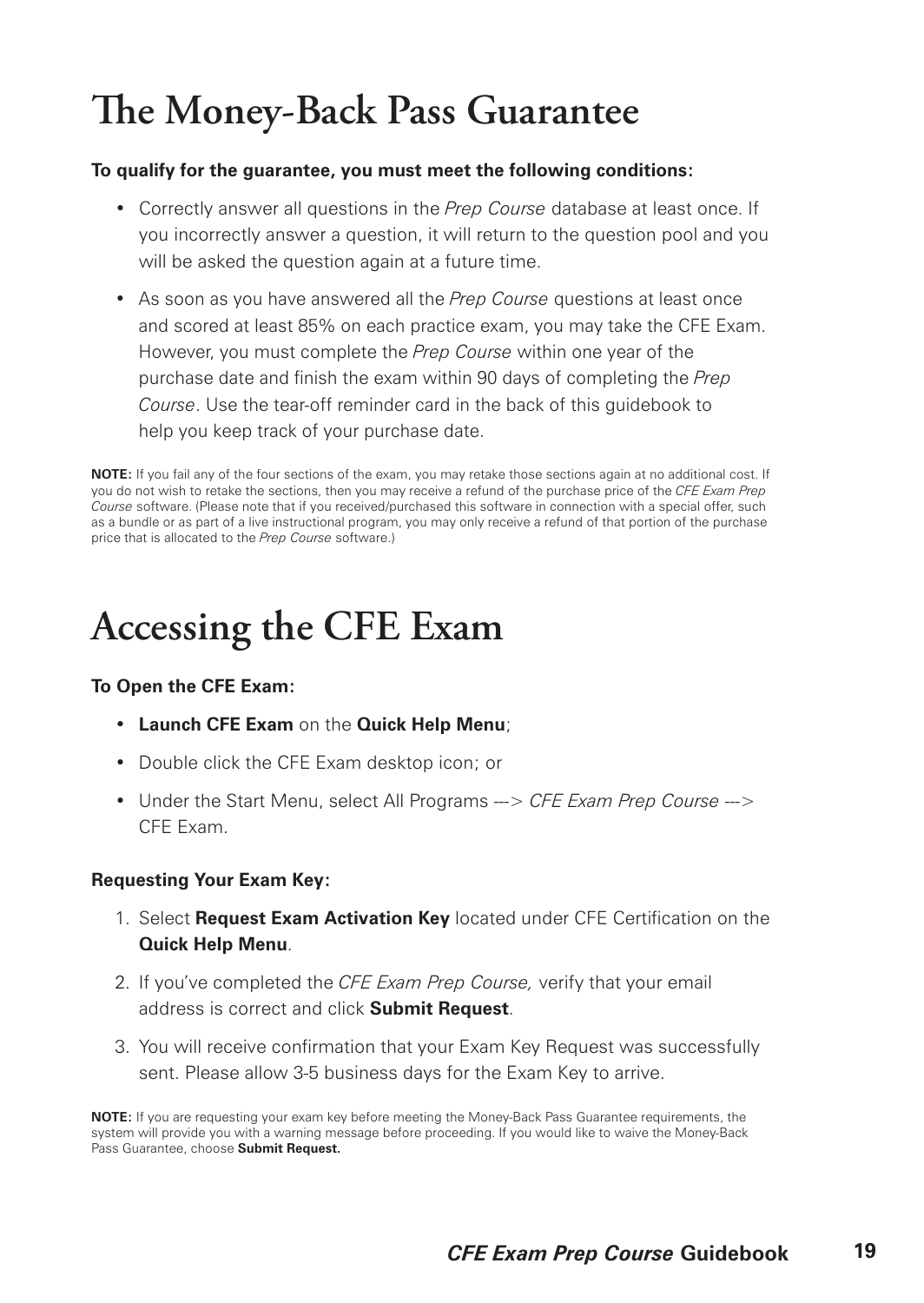# **The Money-Back Pass Guarantee**

#### **To qualify for the guarantee, you must meet the following conditions:**

- Correctly answer all questions in the *Prep Course* database at least once. If you incorrectly answer a question, it will return to the question pool and you will be asked the question again at a future time.
- As soon as you have answered all the *Prep Course* questions at least once and scored at least 85% on each practice exam, you may take the CFE Exam. However, you must complete the *Prep Course* within one year of the purchase date and finish the exam within 90 days of completing the *Prep Course*. Use the tear-off reminder card in the back of this guidebook to help you keep track of your purchase date.

**NOTE:** If you fail any of the four sections of the exam, you may retake those sections again at no additional cost. If you do not wish to retake the sections, then you may receive a refund of the purchase price of the *CFE Exam Prep Course* software. (Please note that if you received/purchased this software in connection with a special offer, such as a bundle or as part of a live instructional program, you may only receive a refund of that portion of the purchase price that is allocated to the *Prep Course* software.)

### **Accessing the CFE Exam**

#### **To Open the CFE Exam:**

- **Launch CFE Exam** on the **Quick Help Menu**;
- Double click the CFE Exam desktop icon; or
- Under the Start Menu, select All Programs ---> *CFE Exam Prep Course* ---> CFE Exam.

#### **Requesting Your Exam Key:**

- 1. Select **Request Exam Activation Key** located under CFE Certification on the **Quick Help Menu**.
- 2. If you've completed the *CFE Exam Prep Course,* verify that your email address is correct and click **Submit Request**.
- 3. You will receive confirmation that your Exam Key Request was successfully sent. Please allow 3-5 business days for the Exam Key to arrive.

**NOTE:** If you are requesting your exam key before meeting the Money-Back Pass Guarantee requirements, the system will provide you with a warning message before proceeding. If you would like to waive the Money-Back Pass Guarantee, choose **Submit Request.**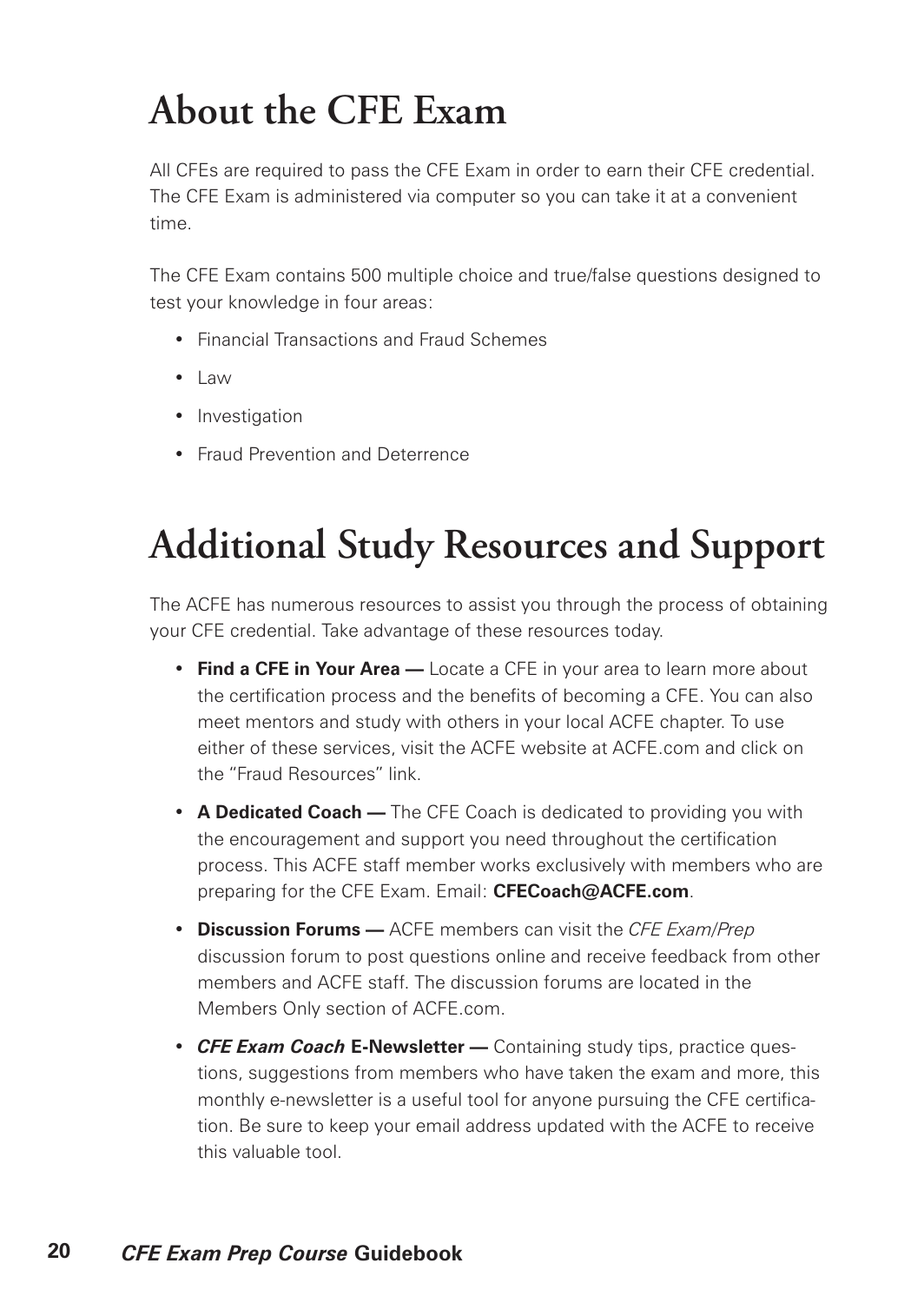# **About the CFE Exam**

All CFEs are required to pass the CFE Exam in order to earn their CFE credential. The CFE Exam is administered via computer so you can take it at a convenient time.

The CFE Exam contains 500 multiple choice and true/false questions designed to test your knowledge in four areas:

- Financial Transactions and Fraud Schemes
- Law
- Investigation
- Fraud Prevention and Deterrence

# **Additional Study Resources and Support**

The ACFE has numerous resources to assist you through the process of obtaining your CFE credential. Take advantage of these resources today.

- **Find a CFE in Your Area —** Locate a CFE in your area to learn more about the certification process and the benefits of becoming a CFE. You can also meet mentors and study with others in your local ACFE chapter. To use either of these services, visit the ACFE website at ACFE.com and click on the "Fraud Resources" link.
- **A Dedicated Coach —** The CFE Coach is dedicated to providing you with the encouragement and support you need throughout the certification process. This ACFE staff member works exclusively with members who are preparing for the CFE Exam. Email: **CFECoach@ACFE.com**.
- **Discussion Forums —** ACFE members can visit the *CFE Exam/Prep* discussion forum to post questions online and receive feedback from other members and ACFE staff. The discussion forums are located in the Members Only section of ACFE.com.
- *CFE Exam Coach* **E-Newsletter —** Containing study tips, practice questions, suggestions from members who have taken the exam and more, this monthly e-newsletter is a useful tool for anyone pursuing the CFE certification. Be sure to keep your email address updated with the ACFE to receive this valuable tool.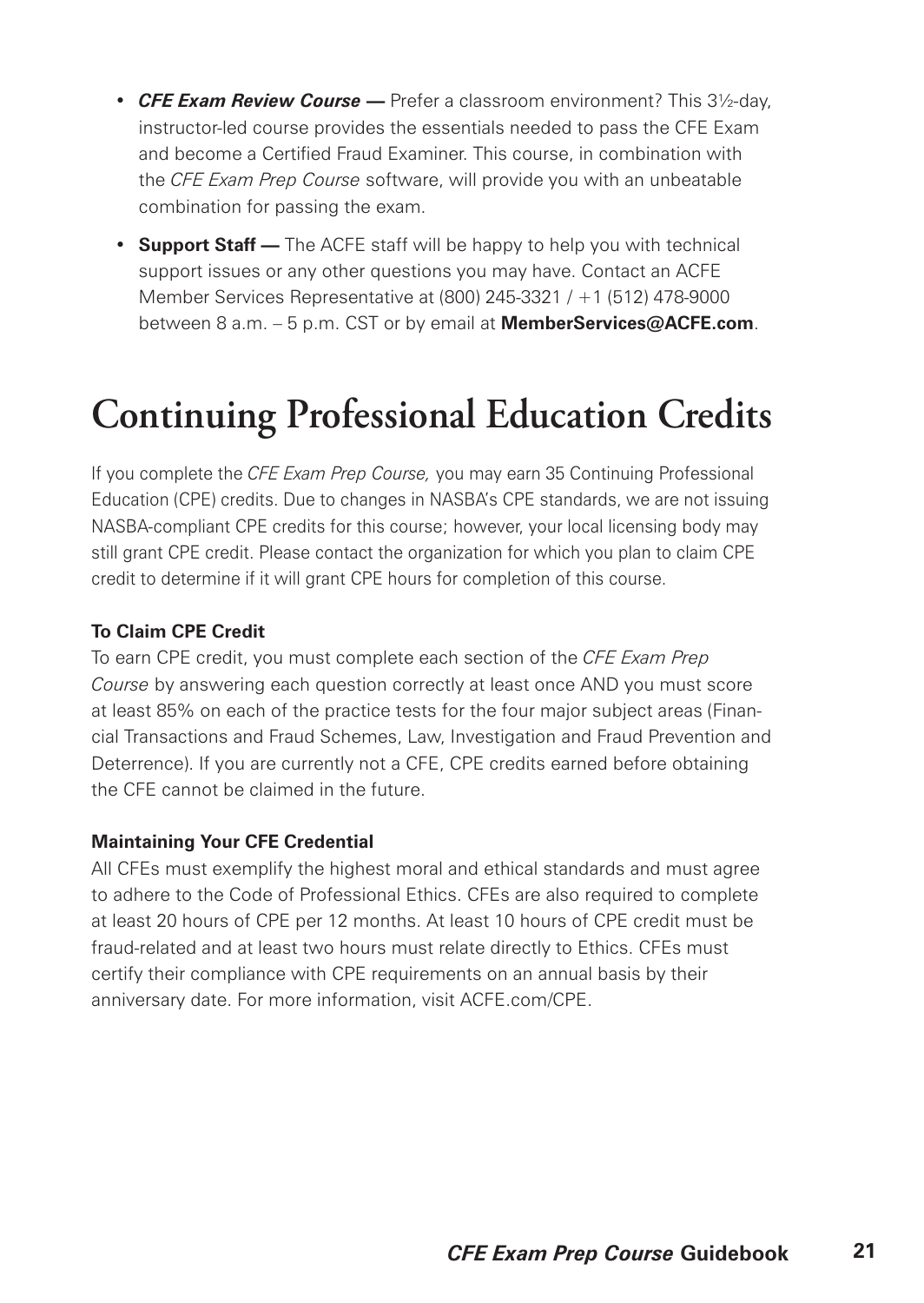- *CFE Exam Review Course* **—** Prefer a classroom environment? This 3½-day, instructor-led course provides the essentials needed to pass the CFE Exam and become a Certified Fraud Examiner. This course, in combination with the *CFE Exam Prep Course* software, will provide you with an unbeatable combination for passing the exam.
- **Support Staff —** The ACFE staff will be happy to help you with technical support issues or any other questions you may have. Contact an ACFE Member Services Representative at (800) 245-3321 / +1 (512) 478-9000 between 8 a.m. – 5 p.m. CST or by email at **MemberServices@ACFE.com**.

### **Continuing Professional Education Credits**

If you complete the *CFE Exam Prep Course,* you may earn 35 Continuing Professional Education (CPE) credits. Due to changes in NASBA's CPE standards, we are not issuing NASBA-compliant CPE credits for this course; however, your local licensing body may still grant CPE credit. Please contact the organization for which you plan to claim CPE credit to determine if it will grant CPE hours for completion of this course.

#### **To Claim CPE Credit**

To earn CPE credit, you must complete each section of the *CFE Exam Prep Course* by answering each question correctly at least once AND you must score at least 85% on each of the practice tests for the four major subject areas (Financial Transactions and Fraud Schemes, Law, Investigation and Fraud Prevention and Deterrence). If you are currently not a CFE, CPE credits earned before obtaining the CFE cannot be claimed in the future.

#### **Maintaining Your CFE Credential**

All CFEs must exemplify the highest moral and ethical standards and must agree to adhere to the Code of Professional Ethics. CFEs are also required to complete at least 20 hours of CPE per 12 months. At least 10 hours of CPE credit must be fraud-related and at least two hours must relate directly to Ethics. CFEs must certify their compliance with CPE requirements on an annual basis by their anniversary date. For more information, visit ACFE.com/CPE.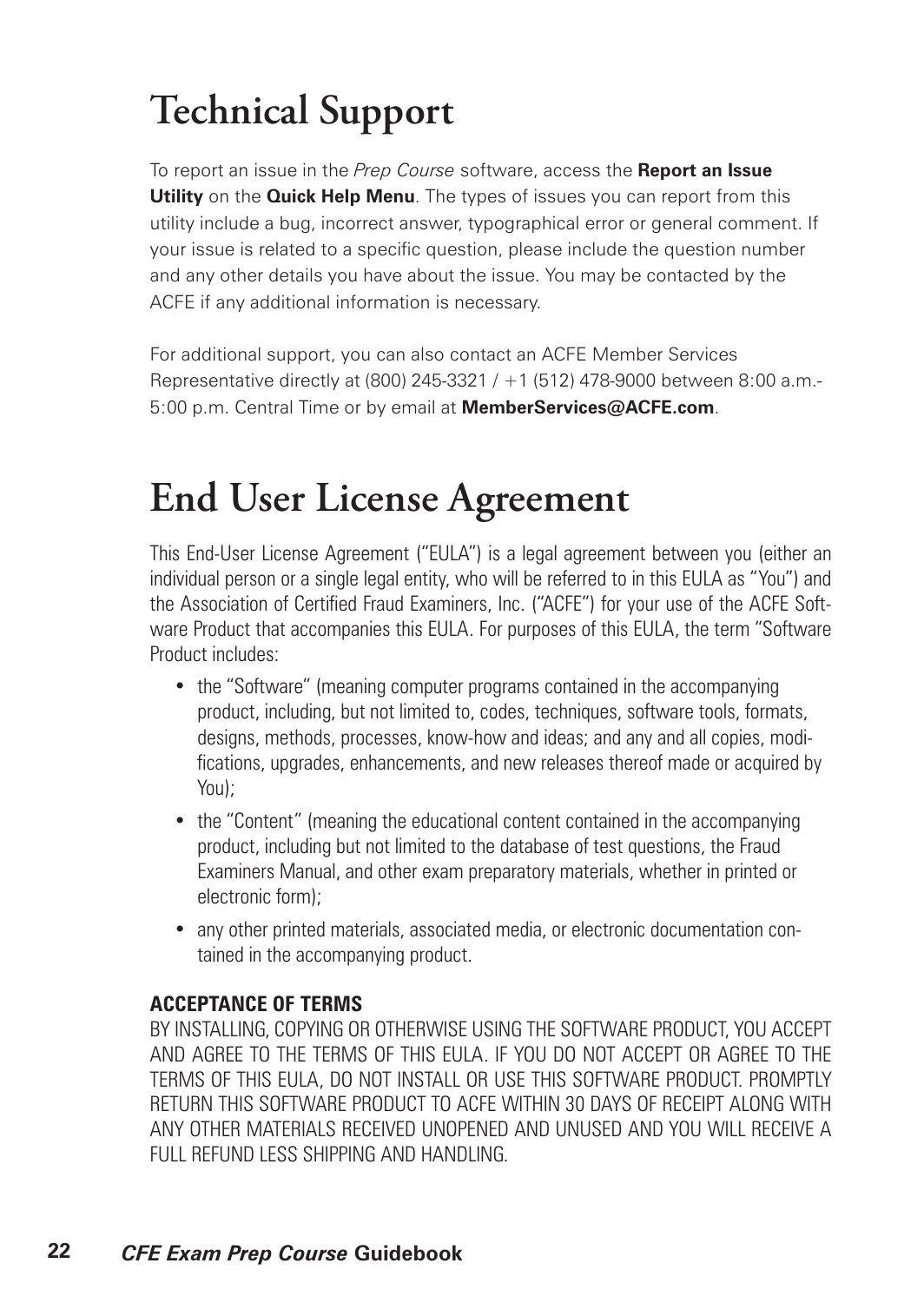# **Technical Support**

To report an issue in the *Prep Course* software, access the **Report an Issue Utility** on the **Quick Help Menu**. The types of issues you can report from this utility include a bug, incorrect answer, typographical error or general comment. If your issue is related to a specific question, please include the question number and any other details you have about the issue. You may be contacted by the ACFE if any additional information is necessary.

For additional support, you can also contact an ACFE Member Services Representative directly at (800) 245-3321 / +1 (512) 478-9000 between 8:00 a.m.- 5:00 p.m. Central Time or by email at **MemberServices@ACFE.com**.

### **End User License Agreement**

This End-User License Agreement ("EULA") is a legal agreement between you (either an individual person or a single legal entity, who will be referred to in this EULA as "You") and the Association of Certified Fraud Examiners, Inc. ("ACFE") for your use of the ACFE Software Product that accompanies this EULA. For purposes of this EULA, the term "Software Product includes:

- the "Software" (meaning computer programs contained in the accompanying product, including, but not limited to, codes, techniques, software tools, formats, designs, methods, processes, know-how and ideas; and any and all copies, modifications, upgrades, enhancements, and new releases thereof made or acquired by You);
- the "Content" (meaning the educational content contained in the accompanying product, including but not limited to the database of test questions, the Fraud Examiners Manual, and other exam preparatory materials, whether in printed or electronic form);
- any other printed materials, associated media, or electronic documentation contained in the accompanying product.

#### **ACCEPTANCE OF TERMS**

BY INSTALLING, COPYING OR OTHERWISE USING THE SOFTWARE PRODUCT, YOU ACCEPT AND AGREE TO THE TERMS OF THIS EULA. IF YOU DO NOT ACCEPT OR AGREE TO THE TERMS OF THIS EULA, DO NOT INSTALL OR USE THIS SOFTWARE PRODUCT. PROMPTLY RETURN THIS SOFTWARE PRODUCT TO ACFE WITHIN 30 DAYS OF RECEIPT ALONG WITH ANY OTHER MATERIALS RECEIVED UNOPENED AND UNUSED AND YOU WILL RECEIVE A FULL REFUND LESS SHIPPING AND HANDLING.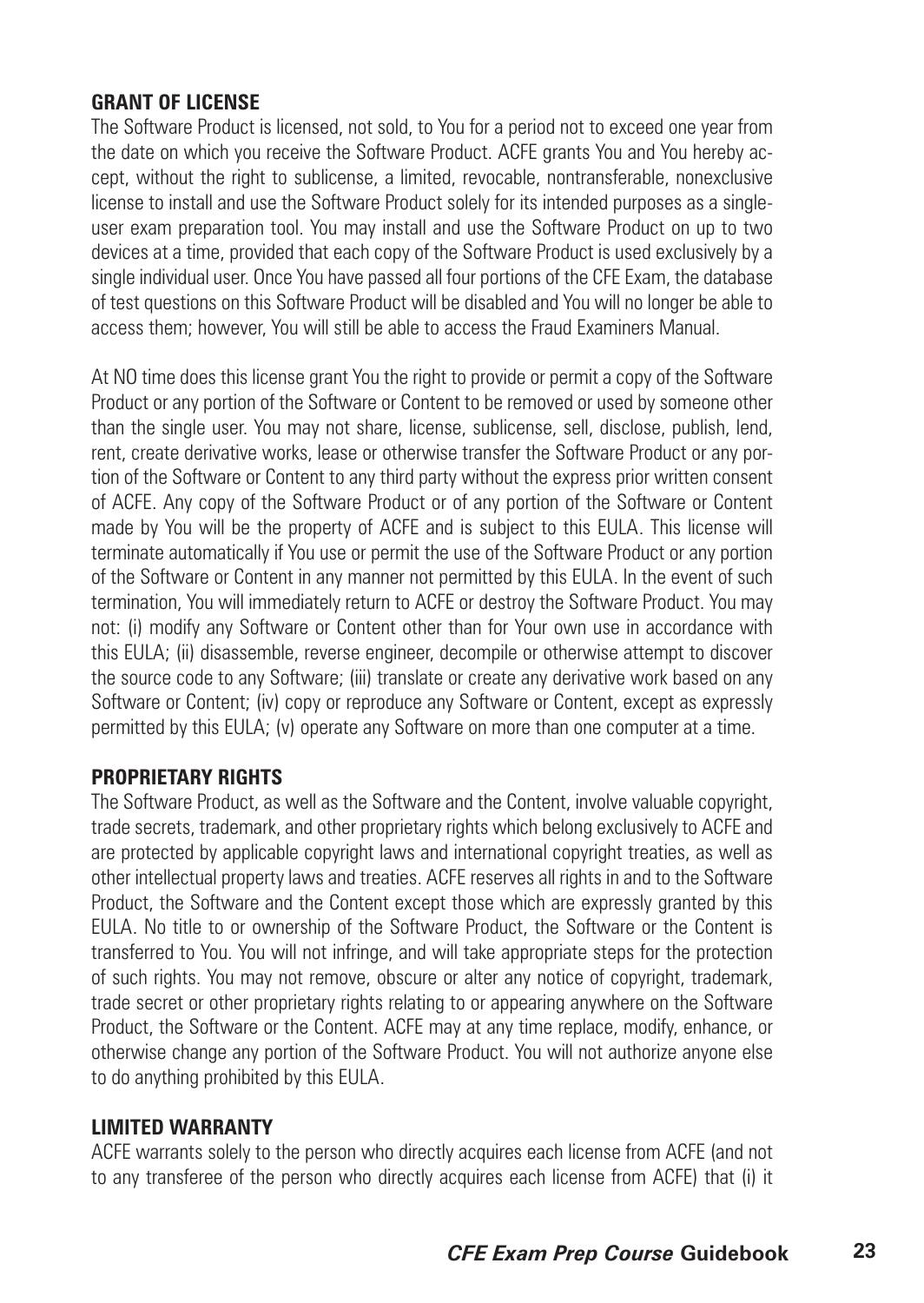#### **GRANT OF LICENSE**

The Software Product is licensed, not sold, to You for a period not to exceed one year from the date on which you receive the Software Product. ACFE grants You and You hereby accept, without the right to sublicense, a limited, revocable, nontransferable, nonexclusive license to install and use the Software Product solely for its intended purposes as a singleuser exam preparation tool. You may install and use the Software Product on up to two devices at a time, provided that each copy of the Software Product is used exclusively by a single individual user. Once You have passed all four portions of the CFE Exam, the database of test questions on this Software Product will be disabled and You will no longer be able to access them; however, You will still be able to access the Fraud Examiners Manual.

At NO time does this license grant You the right to provide or permit a copy of the Software Product or any portion of the Software or Content to be removed or used by someone other than the single user. You may not share, license, sublicense, sell, disclose, publish, lend, rent, create derivative works, lease or otherwise transfer the Software Product or any portion of the Software or Content to any third party without the express prior written consent of ACFE. Any copy of the Software Product or of any portion of the Software or Content made by You will be the property of ACFE and is subject to this EULA. This license will terminate automatically if You use or permit the use of the Software Product or any portion of the Software or Content in any manner not permitted by this EULA. In the event of such termination, You will immediately return to ACFE or destroy the Software Product. You may not: (i) modify any Software or Content other than for Your own use in accordance with this EULA; (ii) disassemble, reverse engineer, decompile or otherwise attempt to discover the source code to any Software; (iii) translate or create any derivative work based on any Software or Content; (iv) copy or reproduce any Software or Content, except as expressly permitted by this EULA; (v) operate any Software on more than one computer at a time.

#### **PROPRIETARY RIGHTS**

The Software Product, as well as the Software and the Content, involve valuable copyright, trade secrets, trademark, and other proprietary rights which belong exclusively to ACFE and are protected by applicable copyright laws and international copyright treaties, as well as other intellectual property laws and treaties. ACFE reserves all rights in and to the Software Product, the Software and the Content except those which are expressly granted by this EULA. No title to or ownership of the Software Product, the Software or the Content is transferred to You. You will not infringe, and will take appropriate steps for the protection of such rights. You may not remove, obscure or alter any notice of copyright, trademark, trade secret or other proprietary rights relating to or appearing anywhere on the Software Product, the Software or the Content. ACFE may at any time replace, modify, enhance, or otherwise change any portion of the Software Product. You will not authorize anyone else to do anything prohibited by this EULA.

#### **LIMITED WARRANTY**

ACFE warrants solely to the person who directly acquires each license from ACFE (and not to any transferee of the person who directly acquires each license from ACFE) that (i) it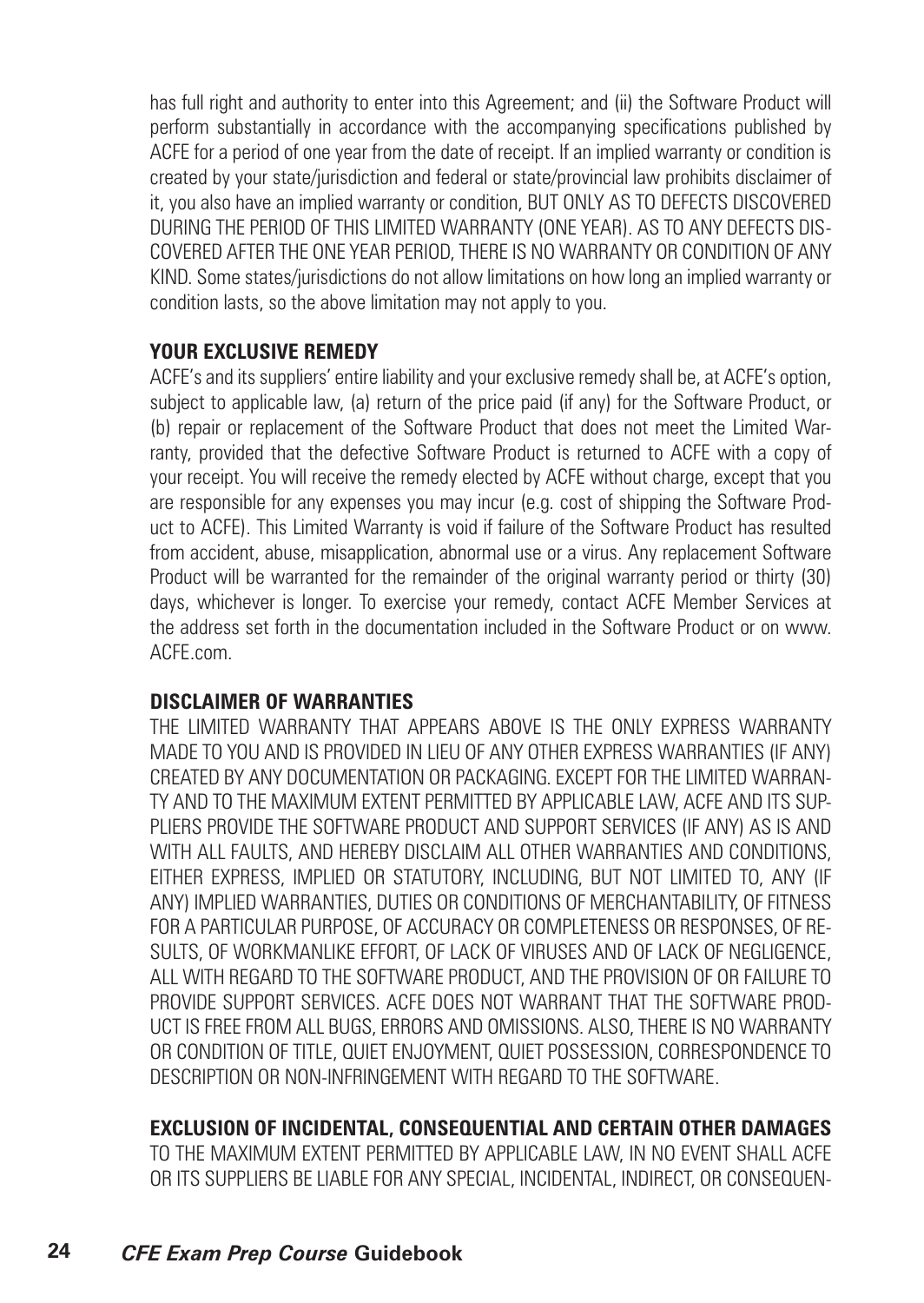has full right and authority to enter into this Agreement; and (ii) the Software Product will perform substantially in accordance with the accompanying specifications published by ACFE for a period of one year from the date of receipt. If an implied warranty or condition is created by your state/jurisdiction and federal or state/provincial law prohibits disclaimer of it, you also have an implied warranty or condition, BUT ONLY AS TO DEFECTS DISCOVERED DURING THE PERIOD OF THIS LIMITED WARRANTY (ONE YEAR). AS TO ANY DEFECTS DIS-COVERED AFTER THE ONE YEAR PERIOD, THERE IS NO WARRANTY OR CONDITION OF ANY KIND. Some states/jurisdictions do not allow limitations on how long an implied warranty or condition lasts, so the above limitation may not apply to you.

#### **YOUR EXCLUSIVE REMEDY**

ACFE's and its suppliers' entire liability and your exclusive remedy shall be, at ACFE's option, subject to applicable law, (a) return of the price paid (if any) for the Software Product, or (b) repair or replacement of the Software Product that does not meet the Limited Warranty, provided that the defective Software Product is returned to ACFE with a copy of your receipt. You will receive the remedy elected by ACFE without charge, except that you are responsible for any expenses you may incur (e.g. cost of shipping the Software Product to ACFE). This Limited Warranty is void if failure of the Software Product has resulted from accident, abuse, misapplication, abnormal use or a virus. Any replacement Software Product will be warranted for the remainder of the original warranty period or thirty (30) days, whichever is longer. To exercise your remedy, contact ACFE Member Services at the address set forth in the documentation included in the Software Product or on www. ACFE.com.

#### **DISCLAIMER OF WARRANTIES**

THE LIMITED WARRANTY THAT APPEARS ABOVE IS THE ONLY EXPRESS WARRANTY MADE TO YOU AND IS PROVIDED IN LIEU OF ANY OTHER EXPRESS WARRANTIES (IF ANY) CREATED BY ANY DOCUMENTATION OR PACKAGING. EXCEPT FOR THE LIMITED WARRAN-TY AND TO THE MAXIMUM EXTENT PERMITTED BY APPLICABLE LAW, ACFE AND ITS SUP-PLIERS PROVIDE THE SOFTWARE PRODUCT AND SUPPORT SERVICES (IF ANY) AS IS AND WITH ALL FAULTS, AND HEREBY DISCLAIM ALL OTHER WARRANTIES AND CONDITIONS. EITHER EXPRESS, IMPLIED OR STATUTORY, INCLUDING, BUT NOT LIMITED TO, ANY (IF ANY) IMPLIED WARRANTIES, DUTIES OR CONDITIONS OF MERCHANTABILITY, OF FITNESS FOR A PARTICULAR PURPOSE, OF ACCURACY OR COMPLETENESS OR RESPONSES, OF RE-SULTS, OF WORKMANLIKE EFFORT, OF LACK OF VIRUSES AND OF LACK OF NEGLIGENCE, ALL WITH REGARD TO THE SOFTWARE PRODUCT, AND THE PROVISION OF OR FAILURE TO PROVIDE SUPPORT SERVICES. ACFE DOES NOT WARRANT THAT THE SOFTWARE PROD-UCT IS FREE FROM ALL BUGS, ERRORS AND OMISSIONS. ALSO, THERE IS NO WARRANTY OR CONDITION OF TITLE, QUIET ENJOYMENT, QUIET POSSESSION, CORRESPONDENCE TO DESCRIPTION OR NON-INFRINGEMENT WITH REGARD TO THE SOFTWARE.

#### **EXCLUSION OF INCIDENTAL, CONSEQUENTIAL AND CERTAIN OTHER DAMAGES**

TO THE MAXIMUM EXTENT PERMITTED BY APPLICABLE LAW, IN NO EVENT SHALL ACFE OR ITS SUPPLIERS BE LIABLE FOR ANY SPECIAL, INCIDENTAL, INDIRECT, OR CONSEQUEN-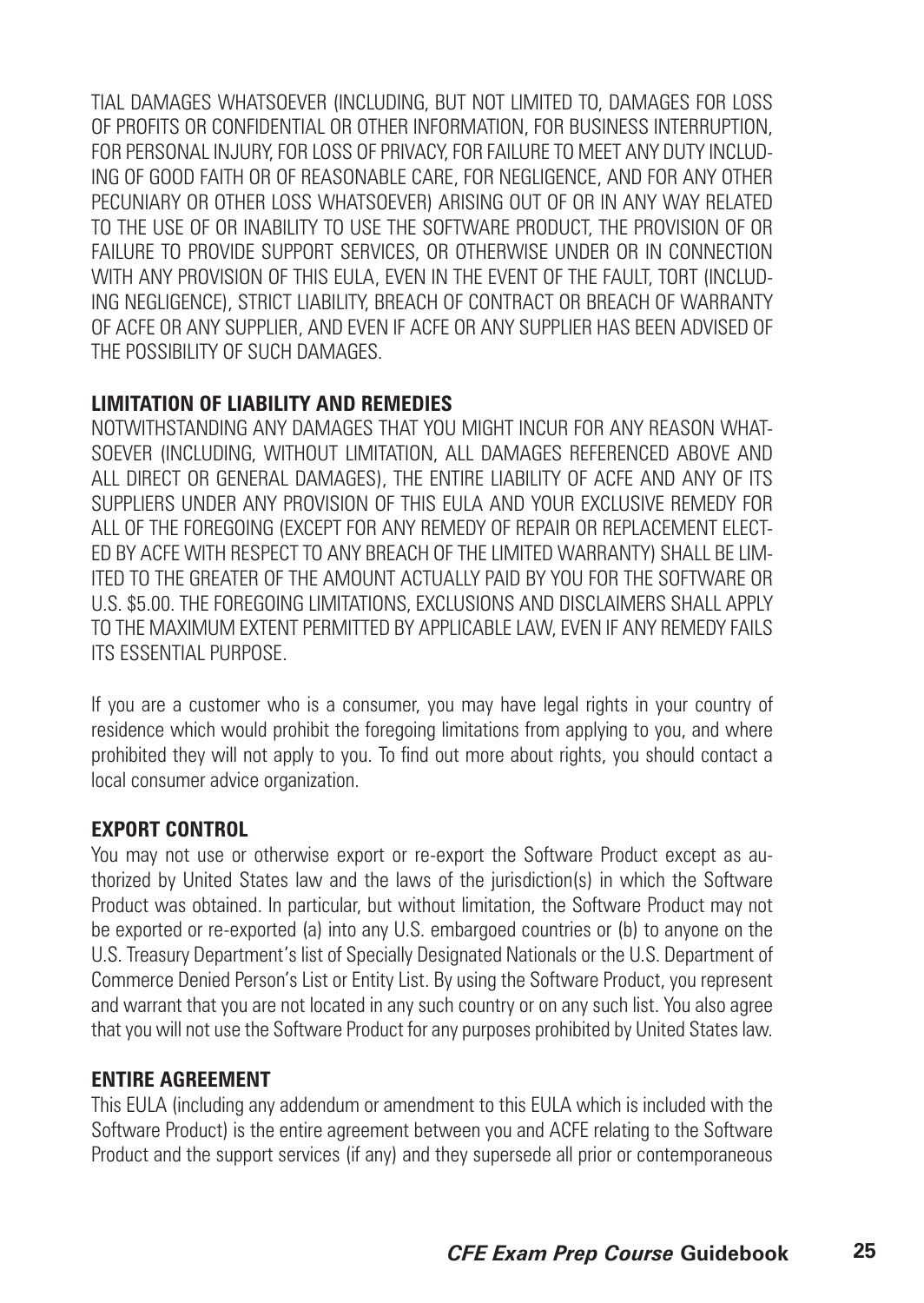TIAL DAMAGES WHATSOEVER (INCLUDING, BUT NOT LIMITED TO, DAMAGES FOR LOSS OF PROFITS OR CONFIDENTIAL OR OTHER INFORMATION, FOR BUSINESS INTERRUPTION, FOR PERSONAL INJURY, FOR LOSS OF PRIVACY, FOR FAILURE TO MEET ANY DUTY INCLUD-ING OF GOOD FAITH OR OF REASONABLE CARE, FOR NEGLIGENCE, AND FOR ANY OTHER PECUNIARY OR OTHER LOSS WHATSOEVER) ARISING OUT OF OR IN ANY WAY RELATED TO THE USE OF OR INABILITY TO USE THE SOFTWARE PRODUCT, THE PROVISION OF OR FAILURE TO PROVIDE SUPPORT SERVICES, OR OTHERWISE UNDER OR IN CONNECTION WITH ANY PROVISION OF THIS EULA, EVEN IN THE EVENT OF THE FAULT, TORT (INCLUD-ING NEGLIGENCE), STRICT LIABILITY, BREACH OF CONTRACT OR BREACH OF WARRANTY OF ACFE OR ANY SUPPLIER, AND EVEN IF ACFE OR ANY SUPPLIER HAS BEEN ADVISED OF THE POSSIBILITY OF SUCH DAMAGES.

#### **LIMITATION OF LIABILITY AND REMEDIES**

NOTWITHSTANDING ANY DAMAGES THAT YOU MIGHT INCUR FOR ANY REASON WHAT-SOEVER (INCLUDING, WITHOUT LIMITATION, ALL DAMAGES REFERENCED ABOVE AND ALL DIRECT OR GENERAL DAMAGES), THE ENTIRE LIABILITY OF ACFE AND ANY OF ITS SUPPLIERS UNDER ANY PROVISION OF THIS EULA AND YOUR EXCLUSIVE REMEDY FOR ALL OF THE FOREGOING (EXCEPT FOR ANY REMEDY OF REPAIR OR REPLACEMENT ELECT-ED BY ACFE WITH RESPECT TO ANY BREACH OF THE LIMITED WARRANTY) SHALL BE LIM-ITED TO THE GREATER OF THE AMOUNT ACTUALLY PAID BY YOU FOR THE SOFTWARE OR U.S. \$5.00. THE FOREGOING LIMITATIONS, EXCLUSIONS AND DISCLAIMERS SHALL APPLY TO THE MAXIMUM EXTENT PERMITTED BY APPLICABLE LAW, EVEN IF ANY REMEDY FAILS ITS ESSENTIAL PURPOSE.

If you are a customer who is a consumer, you may have legal rights in your country of residence which would prohibit the foregoing limitations from applying to you, and where prohibited they will not apply to you. To find out more about rights, you should contact a local consumer advice organization.

#### **EXPORT CONTROL**

You may not use or otherwise export or re-export the Software Product except as authorized by United States law and the laws of the jurisdiction(s) in which the Software Product was obtained. In particular, but without limitation, the Software Product may not be exported or re-exported (a) into any U.S. embargoed countries or (b) to anyone on the U.S. Treasury Department's list of Specially Designated Nationals or the U.S. Department of Commerce Denied Person's List or Entity List. By using the Software Product, you represent and warrant that you are not located in any such country or on any such list. You also agree that you will not use the Software Product for any purposes prohibited by United States law.

#### **ENTIRE AGREEMENT**

This EULA (including any addendum or amendment to this EULA which is included with the Software Product) is the entire agreement between you and ACFE relating to the Software Product and the support services (if any) and they supersede all prior or contemporaneous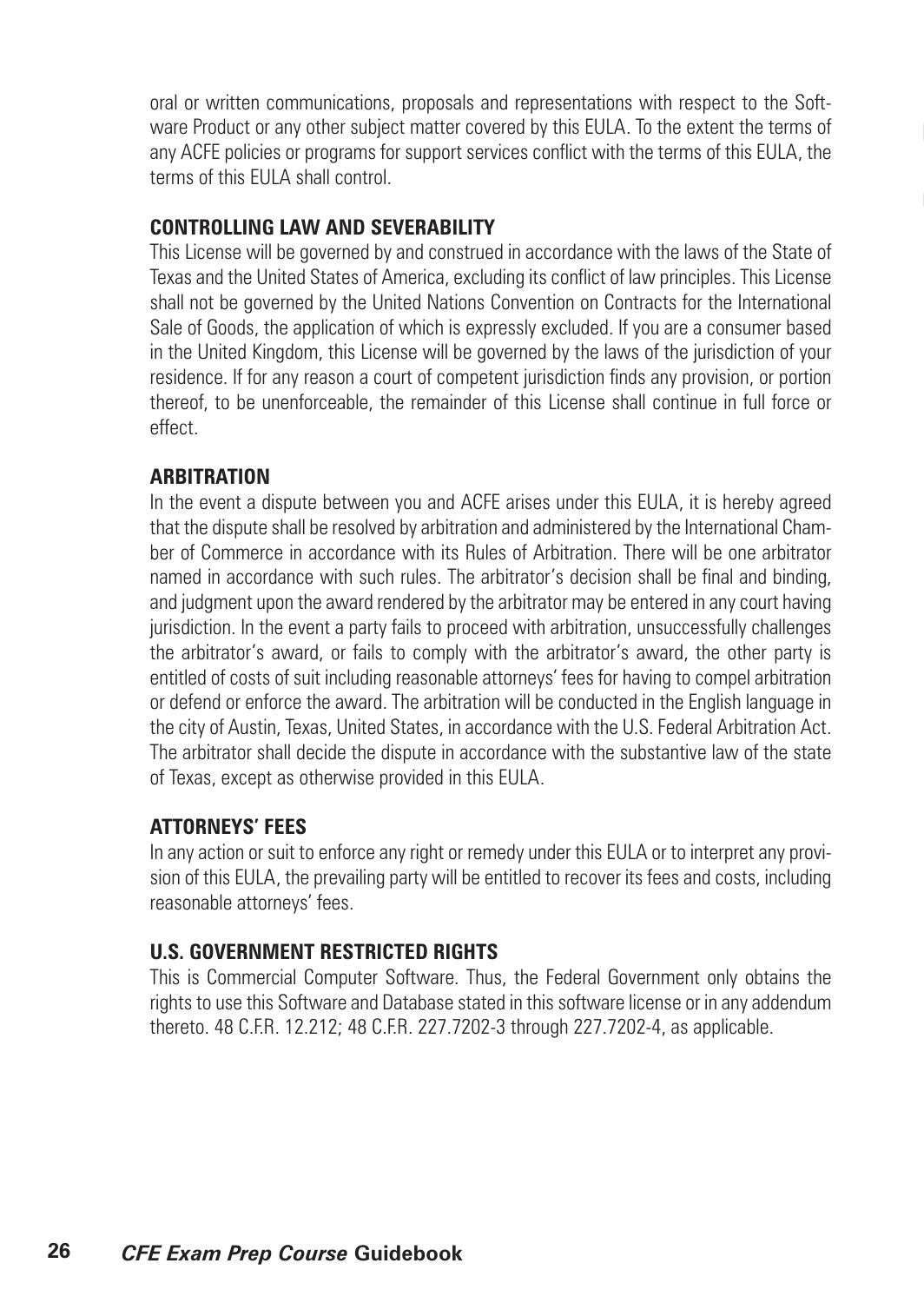oral or written communications, proposals and representations with respect to the Software Product or any other subject matter covered by this EULA. To the extent the terms of any ACFE policies or programs for support services conflict with the terms of this EULA, the terms of this EULA shall control.

#### **CONTROLLING LAW AND SEVERABILITY**

This License will be governed by and construed in accordance with the laws of the State of Texas and the United States of America, excluding its conflict of law principles. This License shall not be governed by the United Nations Convention on Contracts for the International Sale of Goods, the application of which is expressly excluded. If you are a consumer based in the United Kingdom, this License will be governed by the laws of the jurisdiction of your residence. If for any reason a court of competent jurisdiction finds any provision, or portion thereof, to be unenforceable, the remainder of this License shall continue in full force or effect.

#### **ARBITRATION**

In the event a dispute between you and ACFE arises under this EULA, it is hereby agreed that the dispute shall be resolved by arbitration and administered by the International Chamber of Commerce in accordance with its Rules of Arbitration. There will be one arbitrator named in accordance with such rules. The arbitrator's decision shall be final and binding, and judgment upon the award rendered by the arbitrator may be entered in any court having jurisdiction. In the event a party fails to proceed with arbitration, unsuccessfully challenges the arbitrator's award, or fails to comply with the arbitrator's award, the other party is entitled of costs of suit including reasonable attorneys' fees for having to compel arbitration or defend or enforce the award. The arbitration will be conducted in the English language in the city of Austin, Texas, United States, in accordance with the U.S. Federal Arbitration Act. The arbitrator shall decide the dispute in accordance with the substantive law of the state of Texas, except as otherwise provided in this EULA.

#### **ATTORNEYS' FEES**

In any action or suit to enforce any right or remedy under this EULA or to interpret any provision of this EULA, the prevailing party will be entitled to recover its fees and costs, including reasonable attorneys' fees.

#### **U.S. GOVERNMENT RESTRICTED RIGHTS**

This is Commercial Computer Software. Thus, the Federal Government only obtains the rights to use this Software and Database stated in this software license or in any addendum thereto. 48 C.F.R. 12.212; 48 C.F.R. 227.7202-3 through 227.7202-4, as applicable.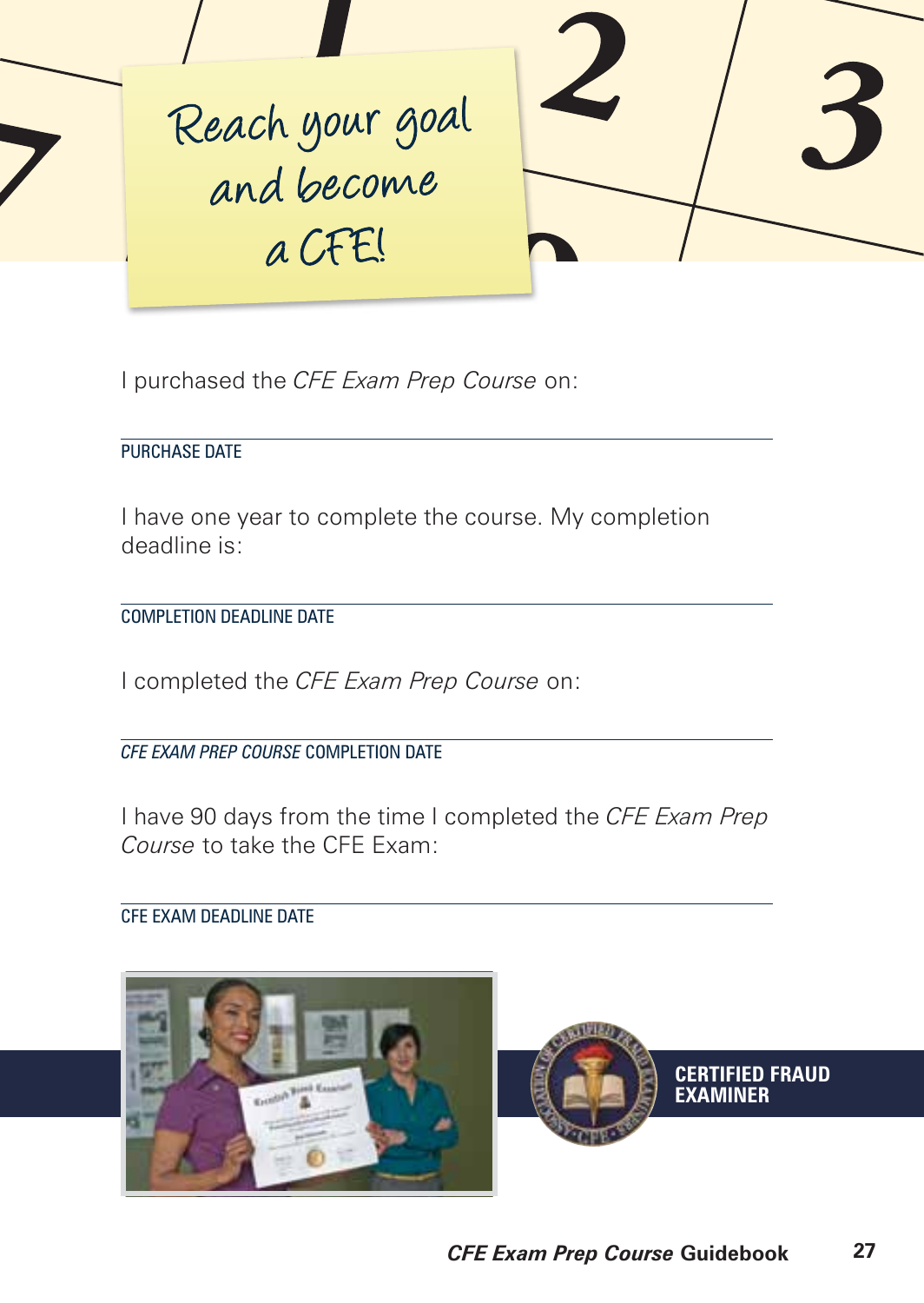

I purchased the *CFE Exam Prep Course* on:

PURCHASE DATE

I have one year to complete the course. My completion deadline is:

COMPLETION DEADLINE DATE

I completed the *CFE Exam Prep Course* on:

*CFE EXAM PREP COURSE* COMPLETION DATE

I have 90 days from the time I completed the *CFE Exam Prep Course* to take the CFE Exam:

CFE EXAM DEADLINE DATE